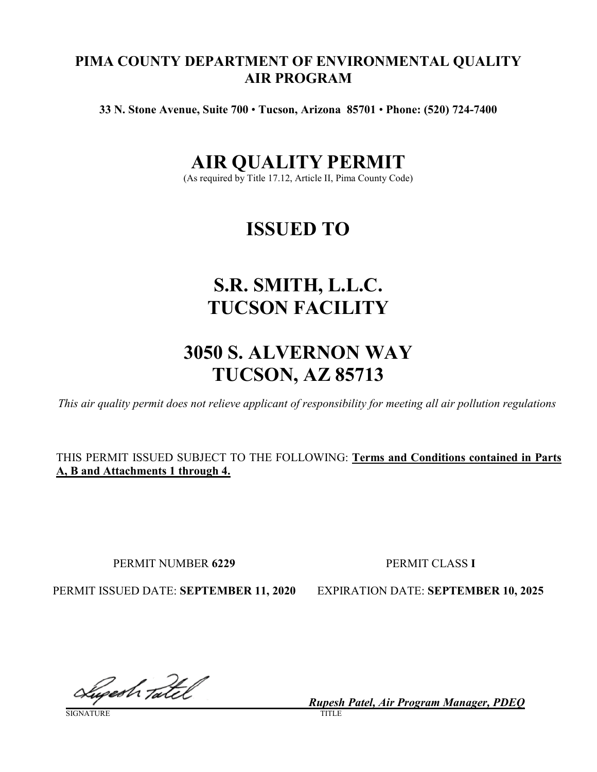# **PIMA COUNTY DEPARTMENT OF ENVIRONMENTAL QUALITY AIR PROGRAM**

**33 N. Stone Avenue, Suite 700** • **Tucson, Arizona 85701** • **Phone: (520) 724-7400**

# **AIR QUALITY PERMIT**

(As required by Title 17.12, Article II, Pima County Code)

# **ISSUED TO**

# **S.R. SMITH, L.L.C. TUCSON FACILITY**

# **3050 S. ALVERNON WAY TUCSON, AZ 85713**

*This air quality permit does not relieve applicant of responsibility for meeting all air pollution regulations* 

THIS PERMIT ISSUED SUBJECT TO THE FOLLOWING: **Terms and Conditions contained in Parts A, B and Attachments 1 through 4.**

PERMIT NUMBER **6229** PERMIT CLASS **I**

PERMIT ISSUED DATE: **SEPTEMBER 11, 2020** EXPIRATION DATE: **SEPTEMBER 10, 2025**

Luperh Tatel

SIGNATURE TITLE

*\_\_\_\_\_\_\_\_\_\_\_\_\_\_\_\_Rupesh Patel, Air Program Manager, PDEQ*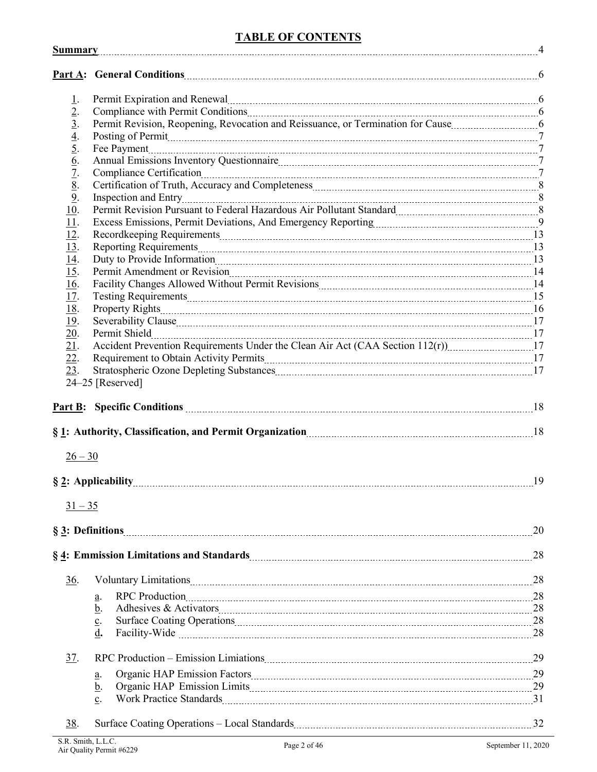# **TABLE OF CONTENTS**

|                                                                                                                                   | Permit Expiration and Renewal <b>Expiration</b> and Renewal <b>Expiration</b> Bernard Communication and Renewal <b>Communication</b> 6                                                                                                                      |    |
|-----------------------------------------------------------------------------------------------------------------------------------|-------------------------------------------------------------------------------------------------------------------------------------------------------------------------------------------------------------------------------------------------------------|----|
|                                                                                                                                   | Compliance with Permit Conditions [100] [100] [100] [100] [100] [100] [100] [100] [100] [100] [100] [100] [100] [100] [100] [100] [100] [100] [100] [100] [100] [100] [100] [100] [100] [100] [100] [100] [100] [100] [100] [1                              |    |
| $\frac{1}{2}$ . $\frac{3}{3}$ . $\frac{4}{4}$ . $\frac{5}{5}$ . $\frac{6}{6}$ . $\frac{7}{2}$ . $\frac{8}{10}$ . $\frac{9}{11}$ . | Permit Revision, Reopening, Revocation and Reissuance, or Termination for Cause manufactured by 6                                                                                                                                                           |    |
|                                                                                                                                   | Posting of Permit <u>manual contracts</u> and a series are all the contracts of Permit manual contracts and a series of Permit manual contracts and a series of Permit manual contracts of $\sim$ 7                                                         |    |
|                                                                                                                                   |                                                                                                                                                                                                                                                             |    |
|                                                                                                                                   |                                                                                                                                                                                                                                                             |    |
|                                                                                                                                   |                                                                                                                                                                                                                                                             |    |
|                                                                                                                                   | Certification of Truth, Accuracy and Completeness [11] [12] The Certification of Truth, Accuracy and Completeness [12] [12] The Certification of Truth, Accuracy and Completeness [12] $\frac{1}{2}$                                                        |    |
|                                                                                                                                   |                                                                                                                                                                                                                                                             |    |
|                                                                                                                                   | Permit Revision Pursuant to Federal Hazardous Air Pollutant Standard [11] [12] Permit Revision Pursuant to Federal Hazardous Air Pollutant Standard                                                                                                         |    |
|                                                                                                                                   |                                                                                                                                                                                                                                                             |    |
| 12.                                                                                                                               |                                                                                                                                                                                                                                                             |    |
| $\frac{\overline{13}}{\underline{14}}$                                                                                            |                                                                                                                                                                                                                                                             |    |
|                                                                                                                                   |                                                                                                                                                                                                                                                             |    |
| 15.                                                                                                                               |                                                                                                                                                                                                                                                             |    |
| $\underline{16}$ .                                                                                                                |                                                                                                                                                                                                                                                             |    |
|                                                                                                                                   |                                                                                                                                                                                                                                                             |    |
| $\frac{17}{18}$ .<br>$\frac{19}{20}$ .                                                                                            |                                                                                                                                                                                                                                                             |    |
|                                                                                                                                   |                                                                                                                                                                                                                                                             |    |
|                                                                                                                                   |                                                                                                                                                                                                                                                             |    |
| 21.                                                                                                                               | Accident Prevention Requirements Under the Clean Air Act (CAA Section 112(r)) _____________________17                                                                                                                                                       |    |
| 22.                                                                                                                               |                                                                                                                                                                                                                                                             |    |
| 23.                                                                                                                               |                                                                                                                                                                                                                                                             |    |
|                                                                                                                                   | 24-25 [Reserved]                                                                                                                                                                                                                                            |    |
|                                                                                                                                   |                                                                                                                                                                                                                                                             |    |
|                                                                                                                                   |                                                                                                                                                                                                                                                             |    |
|                                                                                                                                   |                                                                                                                                                                                                                                                             |    |
|                                                                                                                                   |                                                                                                                                                                                                                                                             |    |
| $26 - 30$                                                                                                                         |                                                                                                                                                                                                                                                             |    |
|                                                                                                                                   |                                                                                                                                                                                                                                                             | 19 |
| $31 - 35$                                                                                                                         |                                                                                                                                                                                                                                                             |    |
|                                                                                                                                   |                                                                                                                                                                                                                                                             | 20 |
|                                                                                                                                   | §4: Emmission Limitations and Standards 28 manual contents and standards and Standards measurement and standards and Standards and Standards and Standards and Standards and Standards and Standards and Standards and Standar                              |    |
| 36.                                                                                                                               |                                                                                                                                                                                                                                                             |    |
|                                                                                                                                   | RPC Production 28<br>a.                                                                                                                                                                                                                                     |    |
|                                                                                                                                   | b.                                                                                                                                                                                                                                                          |    |
|                                                                                                                                   | Surface Coating Operations [100] 28 and 28 and 28 and 28 and 28 and 28 and 28 and 28 and 28 and 28 and 28 and 28 and 28 and 28 and 28 and 28 and 20 and 20 and 20 and 20 and 20 and 20 and 20 and 20 and 20 and 20 and 20 and<br>$\underline{\mathbf{c}}$ . |    |
|                                                                                                                                   | d.<br>Facility-Wide 28                                                                                                                                                                                                                                      |    |
|                                                                                                                                   |                                                                                                                                                                                                                                                             |    |
| 37.                                                                                                                               |                                                                                                                                                                                                                                                             |    |
|                                                                                                                                   | a.                                                                                                                                                                                                                                                          |    |
|                                                                                                                                   | <u>b</u> .                                                                                                                                                                                                                                                  |    |
|                                                                                                                                   | $\underline{c}$ .                                                                                                                                                                                                                                           |    |
|                                                                                                                                   |                                                                                                                                                                                                                                                             |    |
| 38.                                                                                                                               |                                                                                                                                                                                                                                                             |    |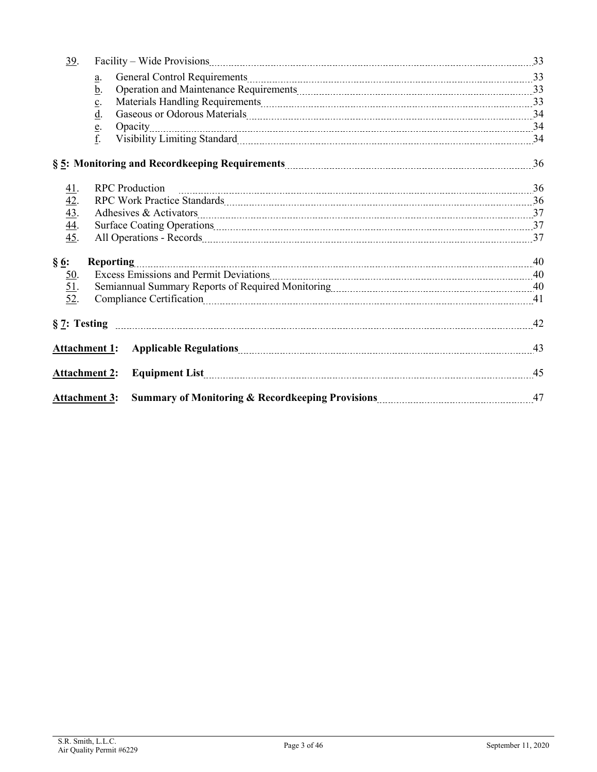| 39.                                    |                                                                                                                                                                                                                                              |    |
|----------------------------------------|----------------------------------------------------------------------------------------------------------------------------------------------------------------------------------------------------------------------------------------------|----|
|                                        | General Control Requirements [11] 33<br>a.                                                                                                                                                                                                   |    |
|                                        | Operation and Maintenance Requirements [11] Maintenance Requirements [11] Maintenance Requirements [11] Maintenance Requirements [11] Maintenance Requirements [11] Maintenance Requirements [11] Maintenance Requirements [11<br><u>b</u> . |    |
|                                        | $\underline{c}$ .                                                                                                                                                                                                                            |    |
|                                        | $\underline{d}$ .                                                                                                                                                                                                                            |    |
|                                        | e.                                                                                                                                                                                                                                           |    |
|                                        | f.                                                                                                                                                                                                                                           |    |
|                                        |                                                                                                                                                                                                                                              |    |
| <u>41</u> .                            | <b>RPC</b> Production                                                                                                                                                                                                                        |    |
| $\frac{42}{43}$ .<br>$\frac{44}{44}$ . |                                                                                                                                                                                                                                              |    |
|                                        | Adhesives & Activators 27                                                                                                                                                                                                                    |    |
|                                        | Surface Coating Operations 27 and 27 and 27 and 27 and 27 and 27 and 27 and 27 and 27 and 27 and 27 and 27 and 27 and 27 and 27 and 27 and 27 and 27 and 27 and 27 and 27 and 27 and 27 and 27 and 27 and 27 and 27 and 27 and               |    |
| 45.                                    |                                                                                                                                                                                                                                              |    |
| $\S 6:$                                |                                                                                                                                                                                                                                              |    |
|                                        |                                                                                                                                                                                                                                              |    |
| $\frac{50}{51}$ .                      |                                                                                                                                                                                                                                              |    |
| 52.                                    | Compliance Certification 11 All 2015 10:00 10:00 10:00 10:00 10:00 10:00 10:00 10:00 10:00 10:00 10:00 10:00 1                                                                                                                               |    |
|                                        |                                                                                                                                                                                                                                              |    |
|                                        | <b>Attachment 1:</b>                                                                                                                                                                                                                         |    |
|                                        | <b>Attachment 2:</b><br>Equipment List                                                                                                                                                                                                       | 45 |
|                                        | <b>Attachment 3:</b>                                                                                                                                                                                                                         |    |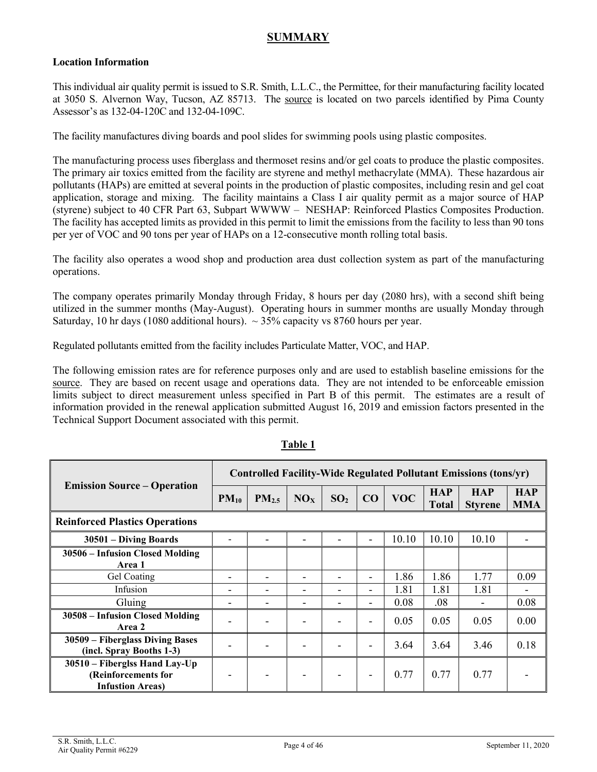# **SUMMARY**

#### **Location Information**

This individual air quality permit is issued to S.R. Smith, L.L.C., the Permittee, for their manufacturing facility located at 3050 S. Alvernon Way, Tucson, AZ 85713. The [source](#page-25-0) is located on two parcels identified by Pima County Assessor's as 132-04-120C and 132-04-109C.

The facility manufactures diving boards and pool slides for swimming pools using plastic composites.

The manufacturing process uses fiberglass and thermoset resins and/or gel coats to produce the plastic composites. The primary air toxics emitted from the facility are styrene and methyl methacrylate (MMA). These hazardous air pollutants (HAPs) are emitted at several points in the production of plastic composites, including resin and gel coat application, storage and mixing. The facility maintains a Class I air quality permit as a major source of HAP (styrene) subject to 40 CFR Part 63, Subpart WWWW – NESHAP: Reinforced Plastics Composites Production. The facility has accepted limits as provided in this permit to limit the emissions from the facility to less than 90 tons per yer of VOC and 90 tons per year of HAPs on a 12-consecutive month rolling total basis.

The facility also operates a wood shop and production area dust collection system as part of the manufacturing operations.

The company operates primarily Monday through Friday, 8 hours per day (2080 hrs), with a second shift being utilized in the summer months (May-August). Operating hours in summer months are usually Monday through Saturday, 10 hr days (1080 additional hours).  $\sim$  35% capacity vs 8760 hours per year.

Regulated pollutants emitted from the facility includes Particulate Matter, VOC, and HAP.

The following emission rates are for reference purposes only and are used to establish baseline emissions for the [source.](#page-25-0) They are based on recent usage and operations data. They are not intended to be enforceable emission limits subject to direct measurement unless specified in Part B of this permit. The estimates are a result of information provided in the renewal application submitted August 16, 2019 and emission factors presented in the Technical Support Document associated with this permit.

|                                                                                  | Controlled Facility-Wide Regulated Pollutant Emissions (tons/yr) |                          |                 |                          |                              |            |                            |                              |                          |
|----------------------------------------------------------------------------------|------------------------------------------------------------------|--------------------------|-----------------|--------------------------|------------------------------|------------|----------------------------|------------------------------|--------------------------|
| <b>Emission Source – Operation</b>                                               | $PM_{10}$                                                        | PM <sub>2.5</sub>        | NO <sub>x</sub> | SO <sub>2</sub>          | CO                           | <b>VOC</b> | <b>HAP</b><br><b>Total</b> | <b>HAP</b><br><b>Styrene</b> | <b>HAP</b><br><b>MMA</b> |
| <b>Reinforced Plastics Operations</b>                                            |                                                                  |                          |                 |                          |                              |            |                            |                              |                          |
| 30501 – Diving Boards                                                            |                                                                  |                          |                 |                          |                              | 10.10      | 10.10                      | 10.10                        |                          |
| 30506 – Infusion Closed Molding<br>Area 1                                        |                                                                  |                          |                 |                          |                              |            |                            |                              |                          |
| Gel Coating                                                                      | ۰                                                                | $\overline{\phantom{0}}$ |                 | -                        | -                            | 1.86       | 1.86                       | 1.77                         | 0.09                     |
| Infusion                                                                         |                                                                  |                          |                 |                          |                              | 1.81       | 1.81                       | 1.81                         |                          |
| Gluing                                                                           |                                                                  |                          |                 | $\overline{\phantom{0}}$ | $\qquad \qquad \blacksquare$ | 0.08       | .08                        |                              | 0.08                     |
| 30508 - Infusion Closed Molding<br>Area 2                                        |                                                                  |                          |                 |                          | $\overline{\phantom{0}}$     | 0.05       | 0.05                       | 0.05                         | 0.00                     |
| 30509 – Fiberglass Diving Bases<br>(incl. Spray Booths 1-3)                      |                                                                  |                          |                 |                          | $\overline{\phantom{0}}$     | 3.64       | 3.64                       | 3.46                         | 0.18                     |
| 30510 – Fiberglss Hand Lay-Up<br>(Reinforcements for<br><b>Infustion Areas</b> ) |                                                                  |                          |                 |                          | -                            | 0.77       | 0.77                       | 0.77                         |                          |

#### **Table 1**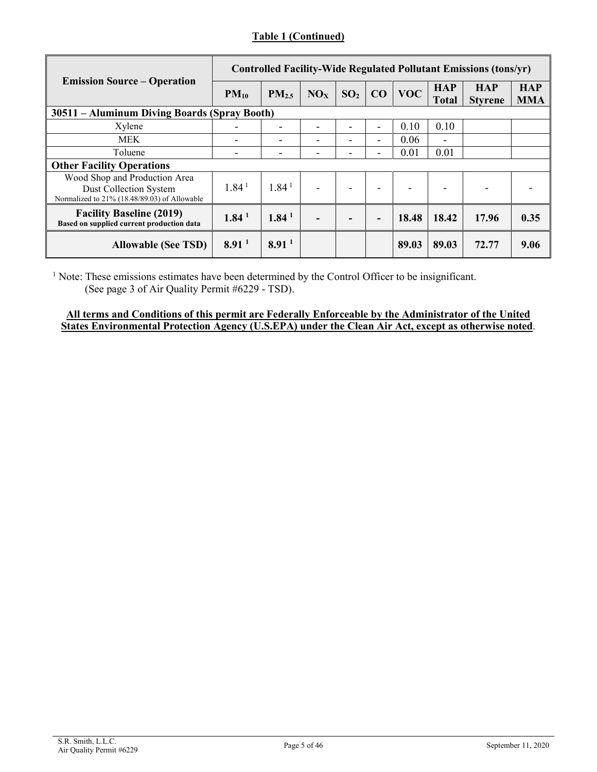### **Table 1 (Continued)**

|                                                                                                         | Controlled Facility-Wide Regulated Pollutant Emissions (tons/yr) |                   |     |                 |    |            |                            |                              |                          |
|---------------------------------------------------------------------------------------------------------|------------------------------------------------------------------|-------------------|-----|-----------------|----|------------|----------------------------|------------------------------|--------------------------|
| <b>Emission Source – Operation</b>                                                                      | $PM_{10}$                                                        | PM <sub>2.5</sub> | NOx | SO <sub>2</sub> | CO | <b>VOC</b> | <b>HAP</b><br><b>Total</b> | <b>HAP</b><br><b>Styrene</b> | <b>HAP</b><br><b>MMA</b> |
| 30511 - Aluminum Diving Boards (Spray Booth)                                                            |                                                                  |                   |     |                 |    |            |                            |                              |                          |
| Xylene                                                                                                  |                                                                  |                   |     |                 | -  | 0.10       | 0.10                       |                              |                          |
| <b>MEK</b>                                                                                              |                                                                  |                   |     |                 | -  | 0.06       |                            |                              |                          |
| Toluene                                                                                                 |                                                                  |                   |     |                 | -  | 0.01       | 0.01                       |                              |                          |
| <b>Other Facility Operations</b>                                                                        |                                                                  |                   |     |                 |    |            |                            |                              |                          |
| Wood Shop and Production Area<br>Dust Collection System<br>Normalized to 21% (18.48/89.03) of Allowable | 1.84 <sup>1</sup>                                                | 1.84 <sup>1</sup> | -   |                 | -  |            |                            | ۰                            |                          |
| <b>Facility Baseline (2019)</b><br>Based on supplied current production data                            | 1.84 <sup>1</sup>                                                | 1.84 <sup>1</sup> |     |                 | -  | 18.48      | 18.42                      | 17.96                        | 0.35                     |
| <b>Allowable (See TSD)</b>                                                                              | 8.91 <sup>1</sup>                                                | 8.91 <sup>1</sup> |     |                 |    | 89.03      | 89.03                      | 72.77                        | 9.06                     |

<sup>1</sup> Note: These emissions estimates have been determined by the Control Officer to be insignificant. (See page 3 of Air Quality Permit #6229 - TSD).

#### **All terms and Conditions of this permit are Federally Enforceable by the Administrator of the United States Environmental Protection Agency (U.S.EPA) under the Clean Air Act, except as otherwise noted**.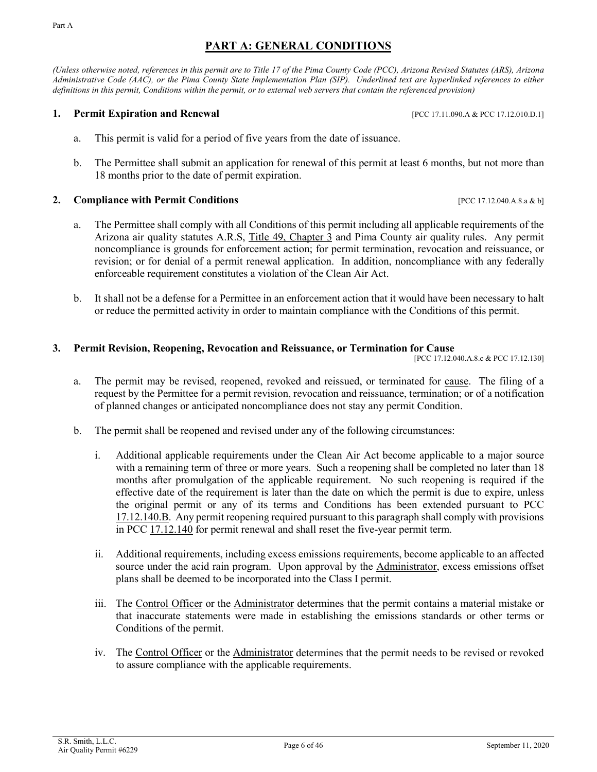# **PART A: GENERAL CONDITIONS**

<span id="page-5-0"></span>*(Unless otherwise noted, references in this permit are to Title 17 of the Pima County Code (PCC), Arizona Revised Statutes (ARS), Arizona Administrative Code (AAC), or the Pima County State Implementation Plan (SIP). Underlined text are hyperlinked references to either definitions in this permit, Conditions within the permit, or to external web servers that contain the referenced provision)*

#### <span id="page-5-1"></span>**1. Permit Expiration and Renewal 1. PERMIT EXPIRENT PERMIT EXPIRENT PROPERTY EXPIRENT PROPERTY PERMIT EXPIRENT PROPERTY**

- a. This permit is valid for a period of five years from the date of issuance.
- b. The Permittee shall submit an application for renewal of this permit at least 6 months, but not more than 18 months prior to the date of permit expiration.

#### <span id="page-5-2"></span>**2. Compliance with Permit Conditions 1996 17.12.040.A.8.a & b]**

- a. The Permittee shall comply with all Conditions of this permit including all applicable requirements of the Arizona air quality statutes [A.R.S, Title 49, Chapter 3](https://www.azleg.gov/arsDetail/?title=49) and Pima County air quality rules. Any permit noncompliance is grounds for enforcement action; for permit termination, revocation and reissuance, or revision; or for denial of a permit renewal application. In addition, noncompliance with any federally enforceable requirement constitutes a violation of the Clean Air Act.
- b. It shall not be a defense for a Permittee in an enforcement action that it would have been necessary to halt or reduce the permitted activity in order to maintain compliance with the Conditions of this permit.

#### <span id="page-5-3"></span>**3. Permit Revision, Reopening, Revocation and Reissuance, or Termination for Cause**

[PCC 17.12.040.A.8.c & PCC 17.12.130]

- a. The permit may be revised, reopened, revoked and reissued, or terminated for [cause.](#page-19-1) The filing of a request by the Permittee for a permit revision, revocation and reissuance, termination; or of a notification of planned changes or anticipated noncompliance does not stay any permit Condition.
- <span id="page-5-4"></span>b. The permit shall be reopened and revised under any of the following circumstances:
	- i. Additional applicable requirements under the Clean Air Act become applicable to a major [source](#page-25-0) with a remaining term of three or more years. Such a reopening shall be completed no later than 18 months after promulgation of the applicable requirement. No such reopening is required if the effective date of the requirement is later than the date on which the permit is due to expire, unless the original permit or any of its terms and Conditions has been extended pursuant to [PCC](https://tinyurl.com/17-12-140-a) [17.12.140.B.](https://tinyurl.com/17-12-140-a) Any permit reopening required pursuant to this paragraph shall comply with provisions in PCC [17.12.140](https://tinyurl.com/17-12-140-a) for permit renewal and shall reset the five-year permit term.
	- ii. Additional requirements, including excess emissions requirements, become applicable to an affected [source](#page-25-0) under the acid rain program. Upon approval by the [Administrator,](#page-19-2) excess emissions offset plans shall be deemed to be incorporated into the Class I permit.
	- iii. The [Control Officer](#page-20-0) or the [Administrator](#page-19-2) determines that the permit contains a material mistake or that inaccurate statements were made in establishing the emissions standards or other terms or Conditions of the permit.
	- iv. The [Control Officer](#page-20-0) or the [Administrator](#page-19-2) determines that the permit needs to be revised or revoked to assure compliance with the applicable requirements.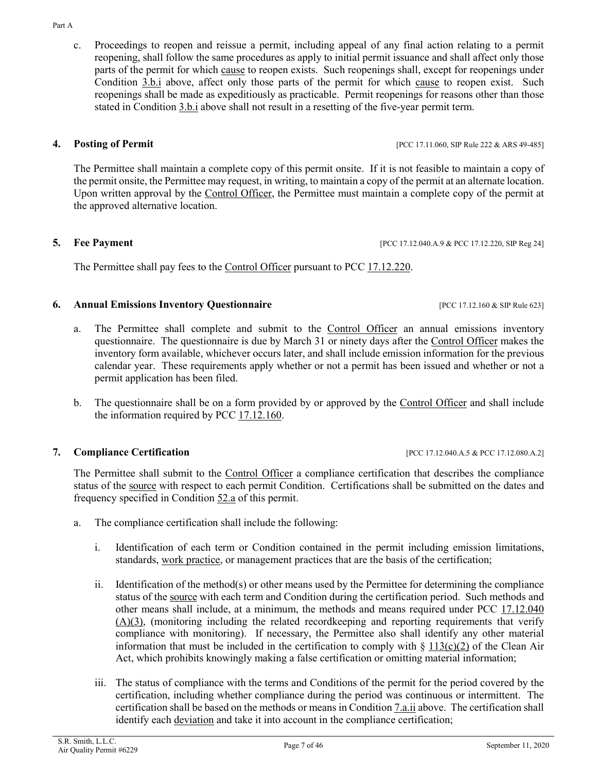<span id="page-6-5"></span>c. Proceedings to reopen and reissue a permit, including appeal of any final action relating to a permit reopening, shall follow the same procedures as apply to initial permit issuance and shall affect only those parts of the permit for which [cause](#page-19-1) to reopen exists. Such reopenings shall, except for reopenings under [Condition](#page-5-4) 3.b.i above, affect only those parts of the permit for which [cause](#page-19-1) to reopen exist. Such reopenings shall be made as expeditiously as practicable. Permit reopenings for reasons other than those stated in [Condition 3.b.i](#page-5-4) above shall not result in a resetting of the five-year permit term.

<span id="page-6-6"></span><span id="page-6-0"></span>**4. Posting of Permit 18. <b>Posting of Permit 18. POSTIPLE 222 & ARS 49-485** 

The Permittee shall maintain a complete copy of this permit onsite. If it is not feasible to maintain a copy of the permit onsite, the Permittee may request, in writing, to maintain a copy of the permit at an alternate location. Upon written approval by the [Control Officer,](#page-20-0) the Permittee must maintain a complete copy of the permit at the approved alternative location.

<span id="page-6-1"></span>**5. Fee Payment** [PCC 17.12.040.A.9 & PCC 17.12.220, SIP Reg 24]

<span id="page-6-7"></span>The Permittee shall pay fees to the [Control Officer](#page-20-0) pursuant to [PCC 17.12.220.](https://tinyurl.com/17-12-220-A)

# <span id="page-6-2"></span>**6. Annual Emissions Inventory Questionnaire** [PCC 17.12.160 & SIP Rule 623]

- a. The Permittee shall complete and submit to the [Control Officer](#page-20-0) an annual emissions inventory questionnaire. The questionnaire is due by March 31 or ninety days after the [Control Officer](#page-20-0) makes the inventory form available, whichever occurs later, and shall include emission information for the previous calendar year. These requirements apply whether or not a permit has been issued and whether or not a permit application has been filed.
- b. The questionnaire shall be on a form provided by or approved by the [Control Officer](#page-20-0) and shall include the information required by [PCC 17.12.160.](https://tinyurl.com/17-12-160-A)

# <span id="page-6-3"></span>**7. Compliance Certification 17.12.080.A.2] COMPLIANCE 17.12.040.A.5 & PCC 17.12.080.A.2]**

The Permittee shall submit to the [Control Officer](#page-20-0) a compliance certification that describes the compliance status of the [source](#page-25-0) with respect to each permit Condition. Certifications shall be submitted on the dates and frequency specified in [Condition 52.a](#page-39-1) of this permit.

- <span id="page-6-4"></span>a. The compliance certification shall include the following:
	- i. Identification of each term or Condition contained in the permit including emission limitations, standards, [work practice,](#page-26-0) or management practices that are the basis of the certification;
	- ii. Identification of the method(s) or other means used by the Permittee for determining the compliance status of the [source](#page-25-0) with each term and Condition during the certification period. Such methods and other means shall include, at a minimum, the methods and means required under PCC [17.12.040](https://tinyurl.com/17-12-040-A)  $(A)(3)$ , (monitoring including the related recordkeeping and reporting requirements that verify compliance with monitoring). If necessary, the Permittee also shall identify any other material information that must be included in the certification to comply with  $\S 113(c)(2)$  $\S 113(c)(2)$  of the Clean Air Act, which prohibits knowingly making a false certification or omitting material information;
	- iii. The status of compliance with the terms and Conditions of the permit for the period covered by the certification, including whether compliance during the period was continuous or intermittent. The certification shall be based on the methods or means i[n Condition](#page-6-4) *7.a.ii* above. The certification shall identify each [deviation](#page-21-0) and take it into account in the compliance certification;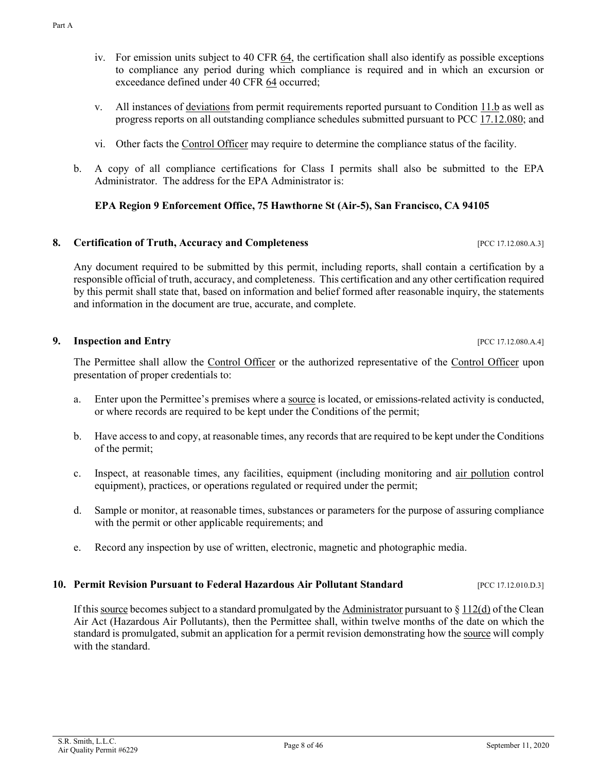- iv. For emission units subject to [40 CFR 64,](https://tinyurl.com/40-CFR-64-A) the certification shall also identify as possible exceptions to compliance any period during which compliance is required and in which an excursion or exceedance defined under [40 CFR 64](https://tinyurl.com/40-CFR-64-A) occurred;
- v. All instances of [deviations](#page-21-0) from permit requirements reported pursuant to [Condition 11.b](#page-9-0) as well as progress reports on all outstanding compliance schedules submitted pursuant to PCC [17.12.080;](https://tinyurl.com/17-12-180-A) and
- vi. Other facts the [Control Officer](#page-20-0) may require to determine the compliance status of the facility.
- b. A copy of all compliance certifications for Class I permits shall also be submitted to the EPA Administrator. The address for the EPA Administrator is:

#### **EPA Region 9 Enforcement Office, 75 Hawthorne St (Air-5), San Francisco, CA 94105**

#### <span id="page-7-0"></span>**8. Certification of Truth, Accuracy and Completeness** [PCC 17.12.080.A.3]

Any document required to be submitted by this permit, including reports, shall contain a certification by a responsible official of truth, accuracy, and completeness. This certification and any other certification required by this permit shall state that, based on information and belief formed after reasonable inquiry, the statements and information in the document are true, accurate, and complete.

#### <span id="page-7-1"></span>**9.** Inspection and Entry **EXECUTE 2008** [PCC 17.12.080.A.4]

The Permittee shall allow the [Control Officer](#page-20-0) or the authorized representative of the [Control Officer](#page-20-0) upon presentation of proper credentials to:

- a. Enter upon the Permittee's premises where [a source](#page-25-0) is located, or emissions-related activity is conducted, or where records are required to be kept under the Conditions of the permit;
- b. Have access to and copy, at reasonable times, any records that are required to be kept under the Conditions of the permit;
- c. Inspect, at reasonable times, any facilities, equipment (including monitoring and [air pollution](#page-19-3) control equipment), practices, or operations regulated or required under the permit;
- d. Sample or monitor, at reasonable times, substances or parameters for the purpose of assuring compliance with the permit or other applicable requirements; and
- e. Record any inspection by use of written, electronic, magnetic and photographic media.

#### <span id="page-7-2"></span>**10. Permit Revision Pursuant to Federal Hazardous Air Pollutant Standard** [PCC 17.12.010.D.3]

If thi[s source](#page-25-0) becomes subject to a standard promulgated by th[e Administrator](#page-19-2) pursuant to  $\S 112(d)$  $\S 112(d)$  of the Clean Air Act (Hazardous Air Pollutants), then the Permittee shall, within twelve months of the date on which the standard is promulgated, submit an application for a permit revision demonstrating how th[e source](#page-25-0) will comply with the standard.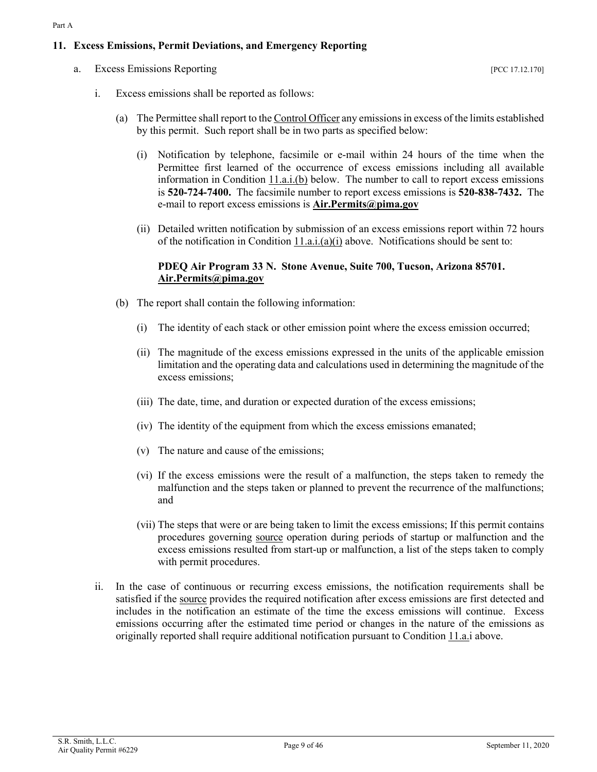#### <span id="page-8-5"></span><span id="page-8-0"></span>**11. Excess Emissions, Permit Deviations, and Emergency Reporting**

<span id="page-8-4"></span><span id="page-8-3"></span>a. Excess Emissions Reporting [PCC 17.12.170]

- <span id="page-8-2"></span>i. Excess emissions shall be reported as follows:
	- (a) The Permittee shall report to th[e Control Officer](#page-20-0) any emissions in excess of the limits established by this permit. Such report shall be in two parts as specified below:
		- (i) Notification by telephone, facsimile or e-mail within 24 hours of the time when the Permittee first learned of the occurrence of excess emissions including all available information in Condition  $11.a.i.(b)$  below. The number to call to report excess emissions is **520-724-7400.** The facsimile number to report excess emissions is **520-838-7432.** The e-mail to report excess emissions is **[Air.Permits@pima.gov](mailto:Air.Permits@pima.gov)**
		- (ii) Detailed written notification by submission of an excess emissions report within 72 hours of the notification in [Condition 11.a.i.\(a\)\(i\)](#page-8-2) above. Notifications should be sent to:

#### **PDEQ Air Program 33 N. Stone Avenue, Suite 700, Tucson, Arizona 85701. [Air.Permits@pima.gov](mailto:Air.Permits@pima.gov)**

- <span id="page-8-1"></span>(b) The report shall contain the following information:
	- (i) The identity of each stack or other emission point where the excess emission occurred;
	- (ii) The magnitude of the excess emissions expressed in the units of the applicable emission limitation and the operating data and calculations used in determining the magnitude of the excess emissions;
	- (iii) The date, time, and duration or expected duration of the excess emissions;
	- (iv) The identity of the equipment from which the excess emissions emanated;
	- (v) The nature and cause of the emissions;
	- (vi) If the excess emissions were the result of a malfunction, the steps taken to remedy the malfunction and the steps taken or planned to prevent the recurrence of the malfunctions; and
	- (vii) The steps that were or are being taken to limit the excess emissions; If this permit contains procedures governing [source](#page-25-0) operation during periods of startup or malfunction and the excess emissions resulted from start-up or malfunction, a list of the steps taken to comply with permit procedures.
- ii. In the case of continuous or recurring excess emissions, the notification requirements shall be satisfied if the [source](#page-25-0) provides the required notification after excess emissions are first detected and includes in the notification an estimate of the time the excess emissions will continue. Excess emissions occurring after the estimated time period or changes in the nature of the emissions as originally reported shall require additional notification pursuant to [Condition 11.a.i](#page-8-3) above.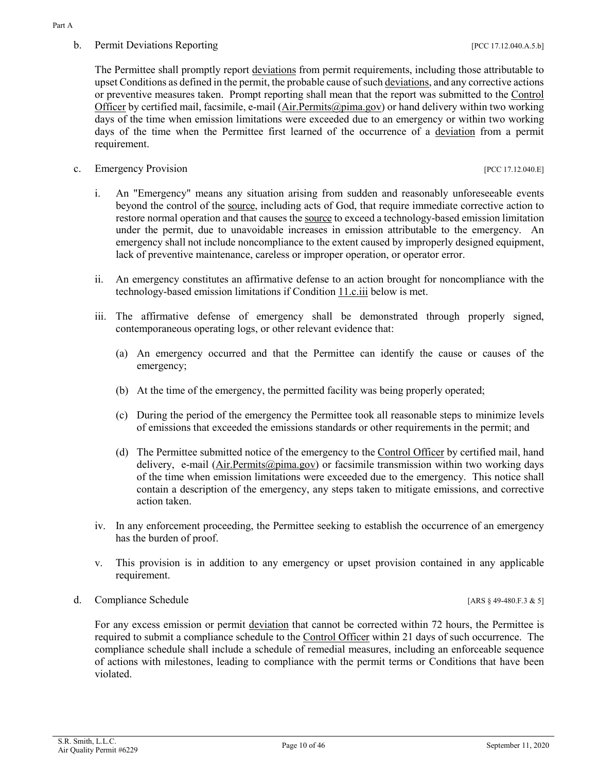### <span id="page-9-0"></span>b. Permit Deviations Reporting and the contract of the contract of the contract of the contract of the contract of the contract of the contract of the contract of the contract of the contract of the contract of the contrac

The Permittee shall promptly report [deviations](#page-21-0) from permit requirements, including those attributable to upset Conditions as defined in the permit, the probable cause of such [deviations,](#page-21-0) and any corrective actions or preventive measures taken. Prompt reporting shall mean that the report was submitted to the [Control](#page-20-0)  [Officer](#page-20-0) by certified mail, facsimile, e-mail [\(Air.Permits@pima.gov\)](mailto:Air.Permits@pima.gov) or hand delivery within two working days of the time when emission limitations were exceeded due to an emergency or within two working days of the time when the Permittee first learned of the occurrence of a [deviation](#page-21-0) from a permit requirement.

c. Emergency Provision [PCC 17.12.040.E]

- i. An "Emergency" means any situation arising from sudden and reasonably unforeseeable events beyond the control of the [source,](#page-25-0) including acts of God, that require immediate corrective action to restore normal operation and that causes th[e source](#page-25-0) to exceed a technology-based emission limitation under the permit, due to unavoidable increases in emission attributable to the emergency. An emergency shall not include noncompliance to the extent caused by improperly designed equipment, lack of preventive maintenance, careless or improper operation, or operator error.
- ii. An emergency constitutes an affirmative defense to an action brought for noncompliance with the technology-based emission limitations if [Condition 11.c.iii](#page-9-1) below is met.
- <span id="page-9-1"></span>iii. The affirmative defense of emergency shall be demonstrated through properly signed, contemporaneous operating logs, or other relevant evidence that:
	- (a) An emergency occurred and that the Permittee can identify the cause or causes of the emergency;
	- (b) At the time of the emergency, the permitted facility was being properly operated;
	- (c) During the period of the emergency the Permittee took all reasonable steps to minimize levels of emissions that exceeded the emissions standards or other requirements in the permit; and
	- (d) The Permittee submitted notice of the emergency to the [Control Officer](#page-20-0) by certified mail, hand delivery, e-mail [\(Air.Permits@pima.gov\)](mailto:Air.Permits@pima.gov) or facsimile transmission within two working days of the time when emission limitations were exceeded due to the emergency. This notice shall contain a description of the emergency, any steps taken to mitigate emissions, and corrective action taken.
- iv. In any enforcement proceeding, the Permittee seeking to establish the occurrence of an emergency has the burden of proof.
- v. This provision is in addition to any emergency or upset provision contained in any applicable requirement.
- d. Compliance Schedule [ARS § 49-480.F.3 & 5]

For any excess emission or permit [deviation](#page-21-0) that cannot be corrected within 72 hours, the Permittee is required to submit a compliance schedule to the [Control Officer](#page-20-0) within 21 days of such occurrence. The compliance schedule shall include a schedule of remedial measures, including an enforceable sequence of actions with milestones, leading to compliance with the permit terms or Conditions that have been violated.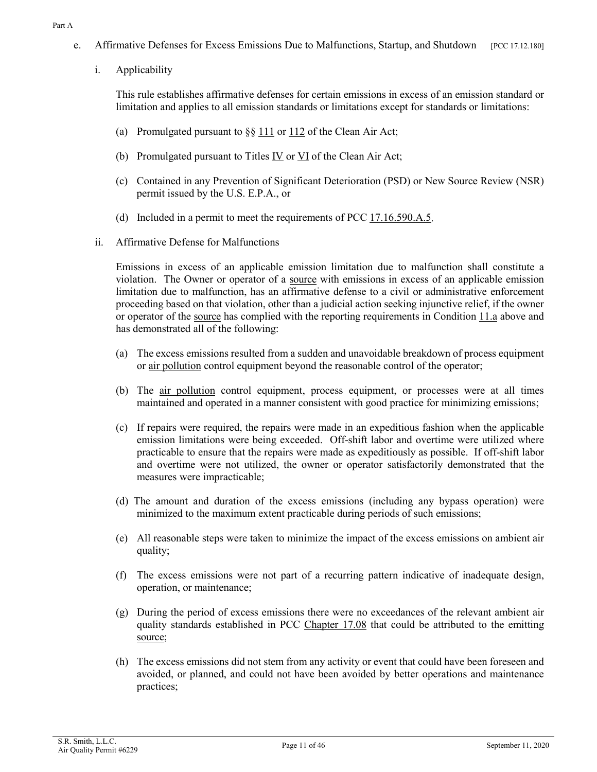- <span id="page-10-2"></span><span id="page-10-1"></span>e. Affirmative Defenses for Excess Emissions Due to Malfunctions, Startup, and Shutdown [PCC 17.12.180]
	- i. Applicability

This rule establishes affirmative defenses for certain emissions in excess of an emission standard or limitation and applies to all emission standards or limitations except for standards or limitations:

- (a) Promulgated pursuant to  $\S\S 111$  $\S\S 111$  or  $112$  of the Clean Air Act;
- (b) Promulgated pursuant to Titles [IV](https://tinyurl.com/CAA-TitleIVA-A) or [VI](https://tinyurl.com/CAA-TitleVI-A) of the Clean Air Act;
- (c) Contained in any Prevention of Significant Deterioration (PSD) or New Source Review (NSR) permit issued by the U.S. E.P.A., or
- (d) Included in a permit to meet the requirements of PCC  $17.16.590.A.5$ .
- <span id="page-10-0"></span>ii. Affirmative Defense for Malfunctions

Emissions in excess of an applicable emission limitation due to malfunction shall constitute a violation. The Owner or operator of a [source](#page-25-0) with emissions in excess of an applicable emission limitation due to malfunction, has an affirmative defense to a civil or administrative enforcement proceeding based on that violation, other than a judicial action seeking injunctive relief, if the owner or operator of the [source](#page-25-0) has complied with the reporting requirements in [Condition](#page-8-4) 11.a above and has demonstrated all of the following:

- (a) The excess emissions resulted from a sudden and unavoidable breakdown of process equipment or [air pollution](#page-19-3) control equipment beyond the reasonable control of the operator;
- (b) The [air pollution](#page-19-3) control equipment, process equipment, or processes were at all times maintained and operated in a manner consistent with good practice for minimizing emissions;
- (c) If repairs were required, the repairs were made in an expeditious fashion when the applicable emission limitations were being exceeded. Off-shift labor and overtime were utilized where practicable to ensure that the repairs were made as expeditiously as possible. If off-shift labor and overtime were not utilized, the owner or operator satisfactorily demonstrated that the measures were impracticable;
- (d) The amount and duration of the excess emissions (including any bypass operation) were minimized to the maximum extent practicable during periods of such emissions;
- (e) All reasonable steps were taken to minimize the impact of the excess emissions on ambient air quality;
- (f) The excess emissions were not part of a recurring pattern indicative of inadequate design, operation, or maintenance;
- (g) During the period of excess emissions there were no exceedances of the relevant ambient air quality standards established in [PCC Chapter 17.08](https://tinyurl.com/PCC-17-08) that could be attributed to the emitting [source;](#page-25-0)
- (h) The excess emissions did not stem from any activity or event that could have been foreseen and avoided, or planned, and could not have been avoided by better operations and maintenance practices;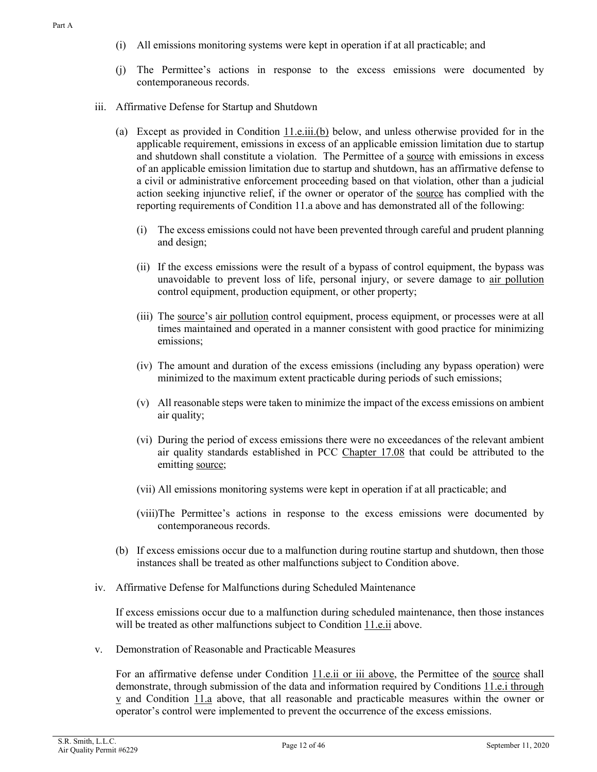- (i) All emissions monitoring systems were kept in operation if at all practicable; and
- <span id="page-11-0"></span>(j) The Permittee's actions in response to the excess emissions were documented by contemporaneous records.
- iii. Affirmative Defense for Startup and Shutdown
	- (a) Except as provided in Condition  $11.e.iii.$  (b) below, and unless otherwise provided for in the applicable requirement, emissions in excess of an applicable emission limitation due to startup and shutdown shall constitute a violation. The Permittee of a [source](#page-25-0) with emissions in excess of an applicable emission limitation due to startup and shutdown, has an affirmative defense to a civil or administrative enforcement proceeding based on that violation, other than a judicial action seeking injunctive relief, if the owner or operator of the [source](#page-25-0) has complied with the reporting requirements of Condition 11.a above and has demonstrated all of the following:
		- (i) The excess emissions could not have been prevented through careful and prudent planning and design;
		- (ii) If the excess emissions were the result of a bypass of control equipment, the bypass was unavoidable to prevent loss of life, personal injury, or severe damage to [air pollution](#page-19-3) control equipment, production equipment, or other property;
		- (iii) The [source'](#page-25-0)s [air pollution](#page-19-3) control equipment, process equipment, or processes were at all times maintained and operated in a manner consistent with good practice for minimizing emissions;
		- (iv) The amount and duration of the excess emissions (including any bypass operation) were minimized to the maximum extent practicable during periods of such emissions;
		- (v) All reasonable steps were taken to minimize the impact of the excess emissions on ambient air quality;
		- (vi) During the period of excess emissions there were no exceedances of the relevant ambient air quality standards established in [PCC Chapter 17.08](https://tinyurl.com/PCC-17-08) that could be attributed to the emitting [source;](#page-25-0)
		- (vii) All emissions monitoring systems were kept in operation if at all practicable; and
		- (viii)The Permittee's actions in response to the excess emissions were documented by contemporaneous records.
	- (b) If excess emissions occur due to a malfunction during routine startup and shutdown, then those instances shall be treated as other malfunctions subject to Condition above.
- iv. Affirmative Defense for Malfunctions during Scheduled Maintenance

If excess emissions occur due to a malfunction during scheduled maintenance, then those instances will be treated as other malfunctions subject to [Condition](#page-10-0) 11.e.ii above.

v. Demonstration of Reasonable and Practicable Measures

For an affirmative defense under [Condition 11.e.ii](#page-10-0) or iii above, the Permittee of the [source](#page-25-0) shall demonstrate, through submission of the data and information required by Conditions [11.e.i through](#page-10-1)   $\underline{v}$  $\underline{v}$  $\underline{v}$  and [Condition 11.a](#page-8-4) above, that all reasonable and practicable measures within the owner or operator's control were implemented to prevent the occurrence of the excess emissions.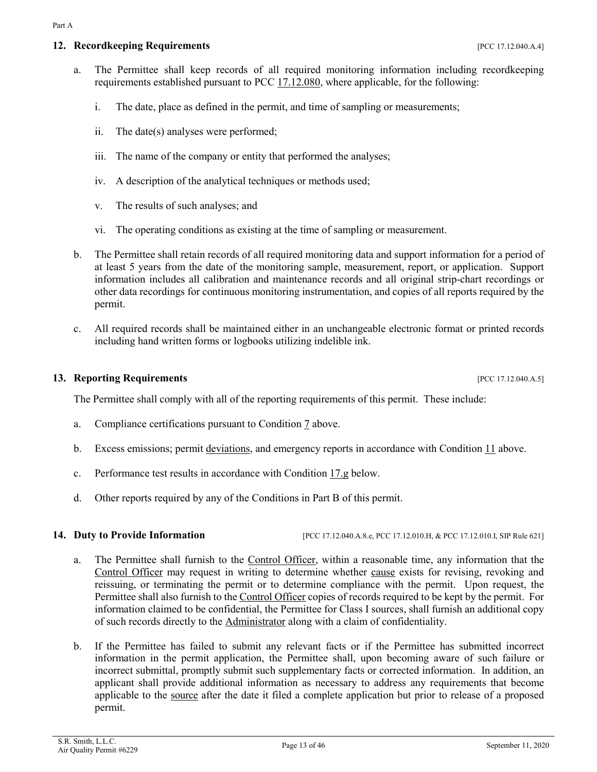#### <span id="page-12-3"></span><span id="page-12-0"></span>**12. Recordkeeping Requirements 12. Properties [PCC 17.12.040.A.4]**

- a. The Permittee shall keep records of all required monitoring information including recordkeeping requirements established pursuant to [PCC 17.12.080,](https://tinyurl.com/PCC-17-12-080) where applicable, for the following:
	- i. The date, place as defined in the permit, and time of sampling or measurements;
	- ii. The date(s) analyses were performed;
	- iii. The name of the company or entity that performed the analyses;
	- iv. A description of the analytical techniques or methods used;
	- v. The results of such analyses; and
	- vi. The operating conditions as existing at the time of sampling or measurement.
- <span id="page-12-4"></span>b. The Permittee shall retain records of all required monitoring data and support information for a period of at least 5 years from the date of the monitoring sample, measurement, report, or application. Support information includes all calibration and maintenance records and all original strip-chart recordings or other data recordings for continuous monitoring instrumentation, and copies of all reports required by the permit.
- c. All required records shall be maintained either in an unchangeable electronic format or printed records including hand written forms or logbooks utilizing indelible ink.

#### <span id="page-12-1"></span>**13. Reporting Requirements 13. Proporting Requirements 13. Proporting Requirements**

The Permittee shall comply with all of the reporting requirements of this permit. These include:

- a. Compliance certifications pursuant to [Condition 7](#page-6-3) above.
- b. Excess emissions; permit [deviations,](#page-21-0) and emergency reports in accordance with Condition  $11$  above.
- c. Performance test results in accordance with [Condition 17.g](#page-15-1) below.
- d. Other reports required by any of the Conditions in Part B of this permit.

<span id="page-12-2"></span>**14. Duty to Provide Information** [PCC 17.12.040.A.8.e, PCC 17.12.010.H, & PCC 17.12.010.I, SIP Rule 621]

- a. The Permittee shall furnish to the [Control Officer,](#page-20-0) within a reasonable time, any information that the [Control Officer](#page-20-0) may request in writing to determine whether [cause](#page-19-1) exists for revising, revoking and reissuing, or terminating the permit or to determine compliance with the permit. Upon request, the Permittee shall also furnish to th[e Control Officer](#page-20-0) copies of records required to be kept by the permit. For information claimed to be confidential, the Permittee for Class I sources, shall furnish an additional copy of such records directly to the [Administrator](#page-19-2) along with a claim of confidentiality.
- b. If the Permittee has failed to submit any relevant facts or if the Permittee has submitted incorrect information in the permit application, the Permittee shall, upon becoming aware of such failure or incorrect submittal, promptly submit such supplementary facts or corrected information. In addition, an applicant shall provide additional information as necessary to address any requirements that become applicable to the [source](#page-25-0) after the date it filed a complete application but prior to release of a proposed permit.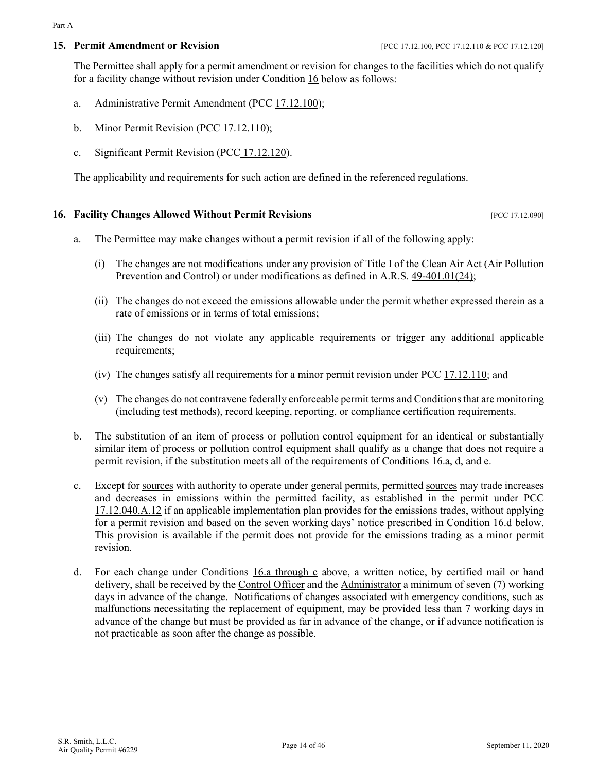#### <span id="page-13-5"></span><span id="page-13-0"></span>**15. Permit Amendment or Revision** [PCC 17.12.100, PCC 17.12.110 & PCC 17.12.120]

The Permittee shall apply for a permit amendment or revision for changes to the facilities which do not qualify for a facility change without revision under Condition  $16$  below as follows:

- a. Administrative Permit Amendment [\(PCC 17.12.100\)](https://tinyurl.com/17-12-100-A);
- <span id="page-13-4"></span>b. Minor Permit Revision [\(PCC 17.12.110\)](https://tinyurl.com/17-12-100-A);
- c. Significant Permit Revision (PCC [17.12.120\)](https://tinyurl.com/17-12-120-A).

The applicability and requirements for such action are defined in the referenced regulations.

#### <span id="page-13-1"></span>**16. Facility Changes Allowed Without Permit Revisions Example 20.12.12.090** [PCC 17.12.090]

- <span id="page-13-2"></span>a. The Permittee may make changes without a permit revision if all of the following apply:
	- (i) The changes are not modifications under any provision of Title I of the Clean Air Act (Air Pollution Prevention and Control) or under modifications as defined in A.R.S. [49-401.01\(24\);](https://tinyurl.com/ARS-49-401-01)
	- (ii) The changes do not exceed the emissions allowable under the permit whether expressed therein as a rate of emissions or in terms of total emissions;
	- (iii) The changes do not violate any applicable requirements or trigger any additional applicable requirements;
	- (iv) The changes satisfy all requirements for a minor permit revision under [PCC 17.12.110;](https://tinyurl.com/17-12-110-A) and
	- (v) The changes do not contravene federally enforceable permit terms and Conditionsthat are monitoring (including test methods), record keeping, reporting, or compliance certification requirements.
- b. The substitution of an item of process or pollution control equipment for an identical or substantially similar item of process or pollution control equipment shall qualify as a change that does not require a permit revision, if the substitution meets all of the requirements of Conditions [16.a, d, and e.](#page-13-2)
- c. Except for [sources](#page-25-0) with authority to operate under general permits, permitted sources may trade increases and decreases in emissions within the permitted facility, as established in the permit under [PCC](https://tinyurl.com/17-12-040-A) [17.12.040.A.12](https://tinyurl.com/17-12-040-A) if an applicable implementation plan provides for the emissions trades, without applying for a permit revision and based on the seven working days' notice prescribed in [Condition 16.d](#page-13-3) below. This provision is available if the permit does not provide for the emissions trading as a minor permit revision.
- <span id="page-13-3"></span>d. For each change under Conditions  $16.a$  through  $c$  above, a written notice, by certified mail or hand delivery, shall be received by the [Control Officer](#page-20-0) and the [Administrator](#page-19-2) a minimum of seven (7) working days in advance of the change. Notifications of changes associated with emergency conditions, such as malfunctions necessitating the replacement of equipment, may be provided less than 7 working days in advance of the change but must be provided as far in advance of the change, or if advance notification is not practicable as soon after the change as possible.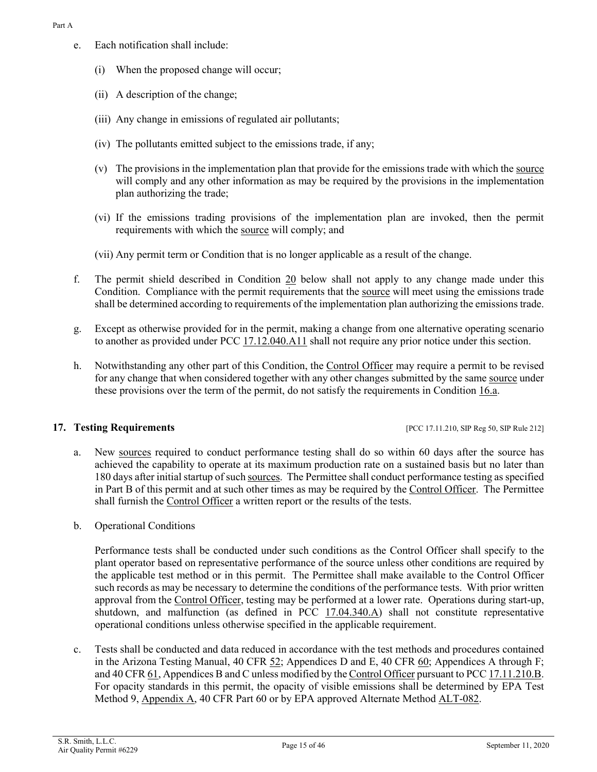- e. Each notification shall include:
	- (i) When the proposed change will occur;
	- (ii) A description of the change;
	- (iii) Any change in emissions of regulated air pollutants;
	- (iv) The pollutants emitted subject to the emissions trade, if any;
	- (v) The provisions in the implementation plan that provide for the emissions trade with which th[e source](#page-25-0) will comply and any other information as may be required by the provisions in the implementation plan authorizing the trade;
	- (vi) If the emissions trading provisions of the implementation plan are invoked, then the permit requirements with which the [source](#page-25-0) will comply; and
	- (vii) Any permit term or Condition that is no longer applicable as a result of the change.
- <span id="page-14-2"></span>f. The permit shield described in [Condition 20](#page-16-1) below shall not apply to any change made under this Condition. Compliance with the permit requirements that the [source](#page-25-0) will meet using the emissions trade shall be determined according to requirements of the implementation plan authorizing the emissions trade.
- g. Except as otherwise provided for in the permit, making a change from one alternative operating scenario to another as provided under [PCC 17.12.040.A11](https://tinyurl.com/17-12-040-A) shall not require any prior notice under this section.
- h. Notwithstanding any other part of this Condition, the [Control Officer](#page-20-0) may require a permit to be revised for any change that when considered together with any other changes submitted by the same [source](#page-25-0) under these provisions over the term of the permit, do not satisfy the requirements in [Condition 16.a.](#page-13-2)

#### <span id="page-14-0"></span>**17.** Testing Requirements **17. 17. 18. PCC 17.11.210, SIP Reg 50, SIP Rule 212**

- a. New [sources](#page-25-0) required to conduct performance testing shall do so within 60 days after the source has achieved the capability to operate at its maximum production rate on a sustained basis but no later than 180 days after initial startup of suc[h sources.](#page-25-0) The Permittee shall conduct performance testing as specified in Part B of this permit and at such other times as may be required by the [Control Officer.](#page-20-0) The Permittee shall furnish the [Control Officer](#page-20-0) a written report or the results of the tests.
- b. Operational Conditions

Performance tests shall be conducted under such conditions as the Control Officer shall specify to the plant operator based on representative performance of the source unless other conditions are required by the applicable test method or in this permit. The Permittee shall make available to the Control Officer such records as may be necessary to determine the conditions of the performance tests. With prior written approval from the [Control Officer,](#page-20-0) testing may be performed at a lower rate. Operations during start-up, shutdown, and malfunction (as defined in [PCC 17.04.340.A\)](https://tinyurl.com/17-04-340) shall not constitute representative operational conditions unless otherwise specified in the applicable requirement.

<span id="page-14-1"></span>c. Tests shall be conducted and data reduced in accordance with the test methods and procedures contained in the Arizona Testing Manual, [40 CFR 52;](https://tinyurl.com/40-CFR-52) Appendices D and E, [40 CFR 60;](https://tinyurl.com/40-CFR-60-INCL) Appendices A through F; an[d 40 CFR 61,](https://tinyurl.com/40-cfr-61) Appendices B and C unless modified by th[e Control Officer](#page-20-0) pursuant t[o PCC 17.11.210.B.](https://tinyurl.com/17-12-210-A)  For opacity standards in this permit, the opacity of visible emissions shall be determined by EPA Test Method 9, [Appendix A,](https://tinyurl.com/40-CFR-60-APPENDICES) 40 CFR Part 60 or by EPA approved Alternate Method [ALT-082.](https://www3.epa.gov/ttn/emc/approalt/ALT082.pdf)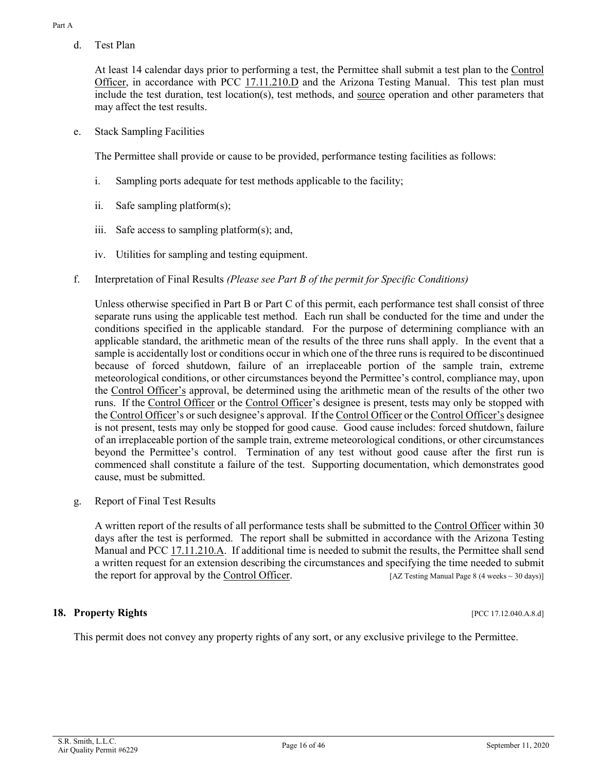d. Test Plan

At least 14 calendar days prior to performing a test, the Permittee shall submit a test plan to the [Control](#page-20-0)  [Officer,](#page-20-0) in accordance with [PCC 17.11.210.D](https://tinyurl.com/17-12-210-A) and the Arizona Testing Manual. This test plan must include the test duration, test location(s), test methods, and [source](#page-25-0) operation and other parameters that may affect the test results.

e. Stack Sampling Facilities

The Permittee shall provide or cause to be provided, performance testing facilities as follows:

- i. Sampling ports adequate for test methods applicable to the facility;
- ii. Safe sampling platform(s);
- iii. Safe access to sampling platform(s); and,
- iv. Utilities for sampling and testing equipment.
- f. Interpretation of Final Results *(Please see Part B of the permit for Specific Conditions)*

Unless otherwise specified in Part B or Part C of this permit, each performance test shall consist of three separate runs using the applicable test method. Each run shall be conducted for the time and under the conditions specified in the applicable standard. For the purpose of determining compliance with an applicable standard, the arithmetic mean of the results of the three runs shall apply. In the event that a sample is accidentally lost or conditions occur in which one of the three runs is required to be discontinued because of forced shutdown, failure of an irreplaceable portion of the sample train, extreme meteorological conditions, or other circumstances beyond the Permittee's control, compliance may, upon the [Control Officer's](#page-20-0) approval, be determined using the arithmetic mean of the results of the other two runs. If the [Control Officer](#page-20-0) or the [Control Officer'](#page-20-0)s designee is present, tests may only be stopped with the [Control Officer'](#page-20-0)s or such designee's approval. If th[e Control Officer](#page-20-0) or th[e Control Officer's](#page-20-0) designee is not present, tests may only be stopped for good cause. Good cause includes: forced shutdown, failure of an irreplaceable portion of the sample train, extreme meteorological conditions, or other circumstances beyond the Permittee's control. Termination of any test without good cause after the first run is commenced shall constitute a failure of the test. Supporting documentation, which demonstrates good cause, must be submitted.

<span id="page-15-1"></span>g. Report of Final Test Results

A written report of the results of all performance tests shall be submitted to th[e Control Officer](#page-20-0) within 30 days after the test is performed. The report shall be submitted in accordance with the Arizona Testing Manual and [PCC 17.11.210.A.](https://tinyurl.com/17-12-210-A) If additional time is needed to submit the results, the Permittee shall send a written request for an extension describing the circumstances and specifying the time needed to submit the report for approval by the [Control Officer.](#page-20-0)  $[AZ \text{ Testing Manual Page 8 (4 weeks ~ 30 days)}]$ 

#### <span id="page-15-0"></span>**18. Property Rights** [PCC 17.12.040.A.8.d]

This permit does not convey any property rights of any sort, or any exclusive privilege to the Permittee.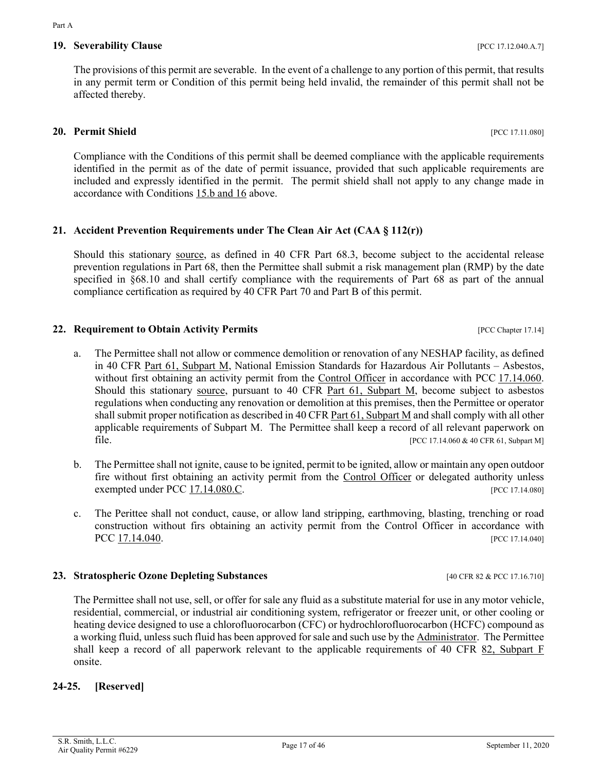affected thereby.

Compliance with the Conditions of this permit shall be deemed compliance with the applicable requirements identified in the permit as of the date of permit issuance, provided that such applicable requirements are included and expressly identified in the permit. The permit shield shall not apply to any change made in accordance with [Conditions 15.b and 16](#page-13-4) above.

<span id="page-16-0"></span>The provisions of this permit are severable. In the event of a challenge to any portion of this permit, that results in any permit term or Condition of this permit being held invalid, the remainder of this permit shall not be

# <span id="page-16-2"></span>**21. Accident Prevention Requirements under The Clean Air Act (CAA § 112(r))**

Should this stationary [source,](#page-25-0) as defined in 40 CFR Part 68.3, become subject to the accidental release prevention regulations in Part 68, then the Permittee shall submit a risk management plan (RMP) by the date specified in  $\S 68.10$  and shall certify compliance with the requirements of Part 68 as part of the annual compliance certification as required by 40 CFR Part 70 and Part B of this permit.

# <span id="page-16-3"></span>**22. Requirement to Obtain Activity Permits 12. In the Computer 17.14**] **PCC Chapter 17.14**

- <span id="page-16-6"></span>a. The Permittee shall not allow or commence demolition or renovation of any NESHAP facility, as defined in [40 CFR Part 61, Subpart M,](https://tinyurl.com/Part-61-subpart-M) National Emission Standards for Hazardous Air Pollutants – Asbestos, without first obtaining an activity permit from the [Control Officer](#page-20-0) in accordance with PCC 17.14.060. Should this stationary [source,](#page-25-0) pursuant to [40 CFR Part 61, Subpart M,](https://tinyurl.com/Part-61-subpart-M) become subject to asbestos regulations when conducting any renovation or demolition at this premises, then the Permittee or operator shall submit proper notification as described in [40 CFR Part 61, Subpart M](https://tinyurl.com/Part-61-subpart-M) and shall comply with all other applicable requirements of Subpart M. The Permittee shall keep a record of all relevant paperwork on file. [PCC 17.14.060 & 40 CFR 61, Subpart M]
- b. The Permittee shall not ignite, cause to be ignited, permit to be ignited, allow or maintain any open outdoor fire without first obtaining an activity permit from the [Control Officer](#page-20-0) or delegated authority unless exempted under [PCC 17.14.080.C.](https://tinyurl.com/PCC-17-14-080) [PCC 17.14.080]
- c. The Perittee shall not conduct, cause, or allow land stripping, earthmoving, blasting, trenching or road construction without firs obtaining an activity permit from the Control Officer in accordance with PCC [17.14.040.](https://tinyurl.com/PCC-17-14-040) [PCC 17.14.040]

# <span id="page-16-4"></span>**23. Stratospheric Ozone Depleting Substances** [40 CFR 82 & PCC 17.16.710]

The Permittee shall not use, sell, or offer for sale any fluid as a substitute material for use in any motor vehicle, residential, commercial, or industrial air conditioning system, refrigerator or freezer unit, or other cooling or heating device designed to use a chlorofluorocarbon (CFC) or hydrochlorofluorocarbon (HCFC) compound as a working fluid, unless such fluid has been approved for sale and such use by th[e Administrator.](#page-19-2) The Permittee shall keep a record of all paperwork relevant to the applicable requirements of [40 CFR 82, Subpart F](https://tinyurl.com/40-CFR-82-F) onsite.

# **24-25. [Reserved]**

<span id="page-16-5"></span><span id="page-16-1"></span>**20. Permit Shield** [PCC 17.11.080]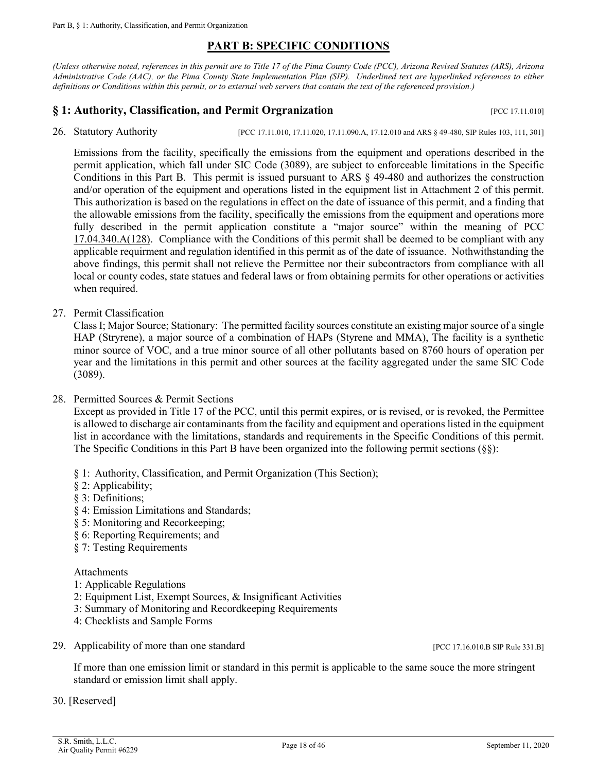### **PART B: SPECIFIC CONDITIONS**

<span id="page-17-0"></span>*(Unless otherwise noted, references in this permit are to Title 17 of the Pima County Code (PCC), Arizona Revised Statutes (ARS), Arizona Administrative Code (AAC), or the Pima County State Implementation Plan (SIP). Underlined text are hyperlinked references to either definitions or Conditions within this permit, or to external web servers that contain the text of the referenced provision.)*

### <span id="page-17-1"></span>**§ 1: Authority, Classification, and Permit Orgranization Example 20 and Service 27.11.010** [PCC 17.11.010]

<span id="page-17-2"></span>26. Statutory Authority [PCC 17.11.010, 17.11.020, 17.11.090.A, 17.12.010 and ARS § 49-480, SIP Rules 103, 111, 301]

Emissions from the facility, specifically the emissions from the equipment and operations described in the permit application, which fall under SIC Code (3089), are subject to enforceable limitations in the Specific Conditions in this Part B. This permit is issued pursuant to ARS § 49-480 and authorizes the construction and/or operation of the equipment and operations listed in the equipment list in Attachment 2 of this permit. This authorization is based on the regulations in effect on the date of issuance of this permit, and a finding that the allowable emissions from the facility, specifically the emissions from the equipment and operations more fully described in the permit application constitute a "major source" within the meaning of PCC [17.04.340.A\(128\).](https://tinyurl.com/17-04-340) Compliance with the Conditions of this permit shall be deemed to be compliant with any applicable requirment and regulation identified in this permit as of the date of issuance. Nothwithstanding the above findings, this permit shall not relieve the Permittee nor their subcontractors from compliance with all local or county codes, state statues and federal laws or from obtaining permits for other operations or activities when required.

27. Permit Classification

Class I; Major Source; Stationary: The permitted facility sources constitute an existing major source of a single HAP (Stryrene), a major source of a combination of HAPs (Styrene and MMA), The facility is a synthetic minor source of VOC, and a true minor source of all other pollutants based on 8760 hours of operation per year and the limitations in this permit and other sources at the facility aggregated under the same SIC Code (3089).

28. Permitted Sources & Permit Sections

Except as provided in Title 17 of the PCC, until this permit expires, or is revised, or is revoked, the Permittee is allowed to discharge air contaminants from the facility and equipment and operations listed in the equipment list in accordance with the limitations, standards and requirements in the Specific Conditions of this permit. The Specific Conditions in this Part B have been organized into the following permit sections (§§):

- § 1: Authority, Classification, and Permit Organization (This Section);
- § 2: Applicability;
- § 3: Definitions;
- § 4: Emission Limitations and Standards;
- § 5: Monitoring and Recorkeeping;
- § 6: Reporting Requirements; and
- § 7: Testing Requirements

#### Attachments

- 1: Applicable Regulations
- 2: Equipment List, Exempt Sources, & Insignificant Activities
- 3: Summary of Monitoring and Recordkeeping Requirements
- 4: Checklists and Sample Forms
- 29. Applicability of more than one standard [PCC 17.16.010.B SIP Rule 331.B]

If more than one emission limit or standard in this permit is applicable to the same souce the more stringent standard or emission limit shall apply.

30. [Reserved]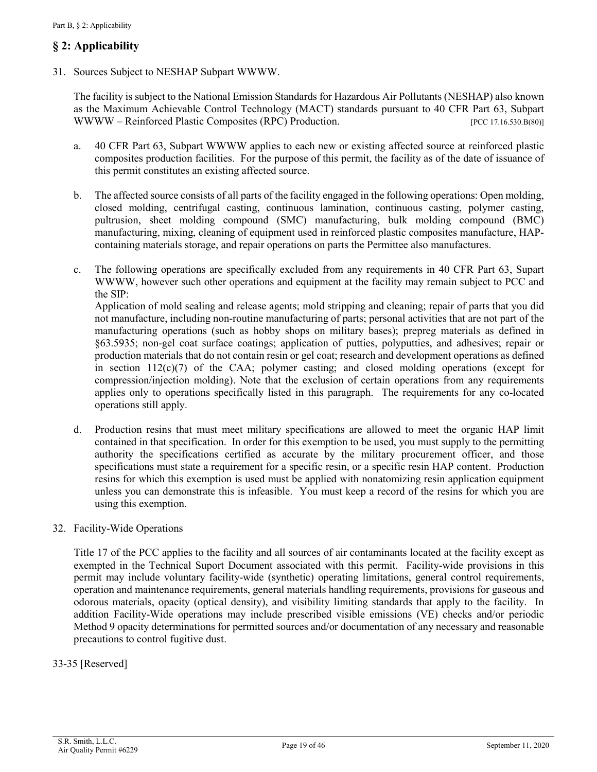# <span id="page-18-0"></span>**§ 2: Applicability**

<span id="page-18-1"></span>31. Sources Subject to NESHAP Subpart WWWW.

The facility is subject to the National Emission Standards for Hazardous Air Pollutants (NESHAP) also known as the Maximum Achievable Control Technology (MACT) standards pursuant to 40 CFR Part 63, Subpart WWWW – Reinforced Plastic Composites (RPC) Production. [PCC 17.16.530.B(80)]

- a. 40 CFR Part 63, Subpart WWWW applies to each new or existing affected source at reinforced plastic composites production facilities. For the purpose of this permit, the facility as of the date of issuance of this permit constitutes an existing affected source.
- b. The affected source consists of all parts of the facility engaged in the following operations: Open molding, closed molding, centrifugal casting, continuous lamination, continuous casting, polymer casting, pultrusion, sheet molding compound (SMC) manufacturing, bulk molding compound (BMC) manufacturing, mixing, cleaning of equipment used in reinforced plastic composites manufacture, HAPcontaining materials storage, and repair operations on parts the Permittee also manufactures.
- c. The following operations are specifically excluded from any requirements in 40 CFR Part 63, Supart WWWW, however such other operations and equipment at the facility may remain subject to PCC and the SIP:

Application of mold sealing and release agents; mold stripping and cleaning; repair of parts that you did not manufacture, including non-routine manufacturing of parts; personal activities that are not part of the manufacturing operations (such as hobby shops on military bases); prepreg materials as defined in §63.5935; non-gel coat surface coatings; application of putties, polyputties, and adhesives; repair or production materials that do not contain resin or gel coat; research and development operations as defined in section  $112(c)(7)$  of the CAA; polymer casting; and closed molding operations (except for compression/injection molding). Note that the exclusion of certain operations from any requirements applies only to operations specifically listed in this paragraph. The requirements for any co-located operations still apply.

d. Production resins that must meet military specifications are allowed to meet the organic HAP limit contained in that specification. In order for this exemption to be used, you must supply to the permitting authority the specifications certified as accurate by the military procurement officer, and those specifications must state a requirement for a specific resin, or a specific resin HAP content. Production resins for which this exemption is used must be applied with nonatomizing resin application equipment unless you can demonstrate this is infeasible. You must keep a record of the resins for which you are using this exemption.

#### 32. Facility-Wide Operations

Title 17 of the PCC applies to the facility and all sources of air contaminants located at the facility except as exempted in the Technical Suport Document associated with this permit. Facility-wide provisions in this permit may include voluntary facility-wide (synthetic) operating limitations, general control requirements, operation and maintenance requirements, general materials handling requirements, provisions for gaseous and odorous materials, opacity (optical density), and visibility limiting standards that apply to the facility. In addition Facility-Wide operations may include prescribed visible emissions (VE) checks and/or periodic Method 9 opacity determinations for permitted sources and/or documentation of any necessary and reasonable precautions to control fugitive dust.

#### 33-35 [Reserved]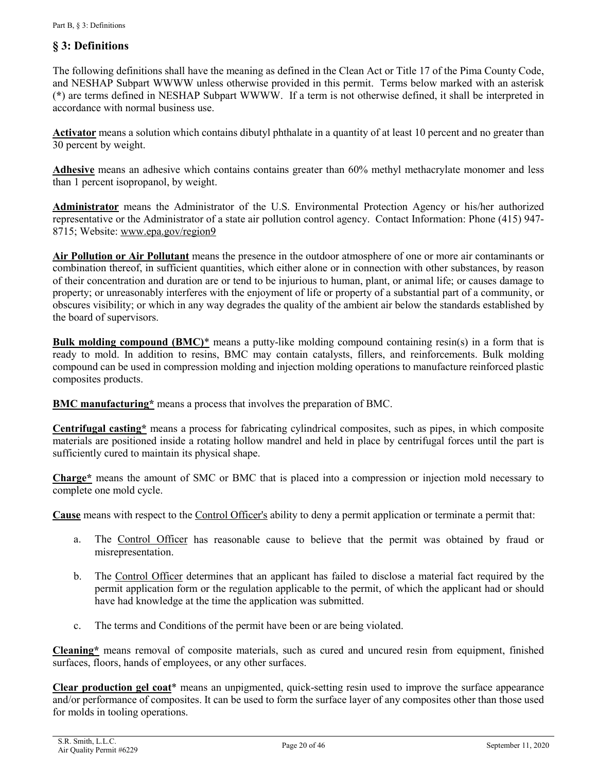### <span id="page-19-0"></span>**§ 3: Definitions**

The following definitions shall have the meaning as defined in the Clean Act or Title 17 of the Pima County Code, and NESHAP Subpart WWWW unless otherwise provided in this permit. Terms below marked with an asterisk (**\***) are terms defined in NESHAP Subpart WWWW. If a term is not otherwise defined, it shall be interpreted in accordance with normal business use.

<span id="page-19-2"></span>**Activator** means a solution which contains dibutyl phthalate in a quantity of at least 10 percent and no greater than 30 percent by weight.

<span id="page-19-4"></span>**Adhesive** means an adhesive which contains contains greater than 60% methyl methacrylate monomer and less than 1 percent isopropanol, by weight.

**Administrator** means the Administrator of the U.S. Environmental Protection Agency or his/her authorized representative or the Administrator of a state air pollution control agency. Contact Information: Phone (415) 947- 8715; Website[: www.epa.gov/region9](https://www.epa.gov/aboutepa/epa-region-9-pacific-southwest)

<span id="page-19-3"></span>**Air Pollution or Air Pollutant** means the presence in the outdoor atmosphere of one or more air contaminants or combination thereof, in sufficient quantities, which either alone or in connection with other substances, by reason of their concentration and duration are or tend to be injurious to human, plant, or animal life; or causes damage to property; or unreasonably interferes with the enjoyment of life or property of a substantial part of a community, or obscures visibility; or which in any way degrades the quality of the ambient air below the standards established by the board of supervisors.

<span id="page-19-1"></span>**Bulk molding compound (BMC)\*** means a putty-like molding compound containing resin(s) in a form that is ready to mold. In addition to resins, BMC may contain catalysts, fillers, and reinforcements. Bulk molding compound can be used in compression molding and injection molding operations to manufacture reinforced plastic composites products.

**BMC manufacturing\*** means a process that involves the preparation of BMC.

**Centrifugal casting\*** means a process for fabricating cylindrical composites, such as pipes, in which composite materials are positioned inside a rotating hollow mandrel and held in place by centrifugal forces until the part is sufficiently cured to maintain its physical shape.

**Charge\*** means the amount of SMC or BMC that is placed into a compression or injection mold necessary to complete one mold cycle.

**Cause** means with respect to the [Control Officer's](#page-20-0) ability to deny a permit application or terminate a permit that:

- a. The [Control Officer](#page-20-0) has reasonable cause to believe that the permit was obtained by fraud or misrepresentation.
- b. The [Control Officer](#page-20-0) determines that an applicant has failed to disclose a material fact required by the permit application form or the regulation applicable to the permit, of which the applicant had or should have had knowledge at the time the application was submitted.
- c. The terms and Conditions of the permit have been or are being violated.

<span id="page-19-5"></span>**Cleaning\*** means removal of composite materials, such as cured and uncured resin from equipment, finished surfaces, floors, hands of employees, or any other surfaces.

**Clear production gel coat**\* means an unpigmented, quick-setting resin used to improve the surface appearance and/or performance of composites. It can be used to form the surface layer of any composites other than those used for molds in tooling operations.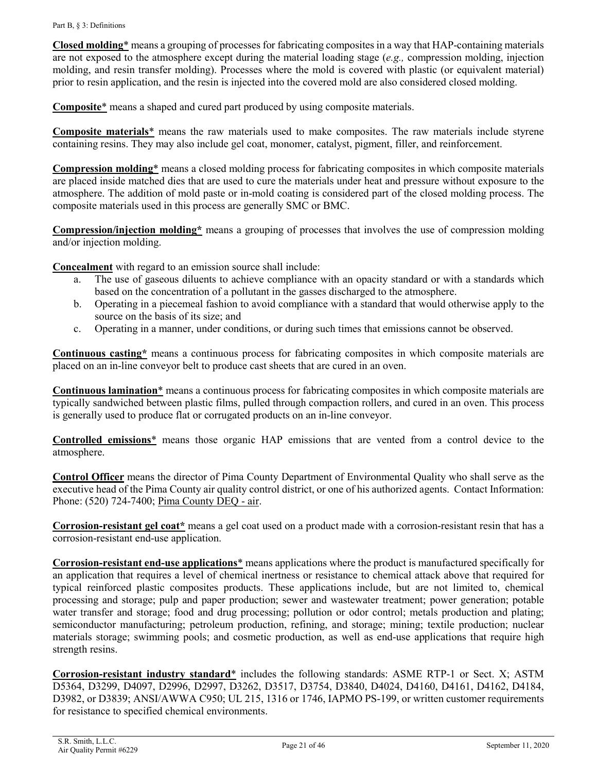<span id="page-20-1"></span>**Closed molding**\* means a grouping of processes for fabricating composites in a way that HAP-containing materials are not exposed to the atmosphere except during the material loading stage (*e.g.,* compression molding, injection molding, and resin transfer molding). Processes where the mold is covered with plastic (or equivalent material) prior to resin application, and the resin is injected into the covered mold are also considered closed molding.

**Composite**\* means a shaped and cured part produced by using composite materials.

**Composite materials**\* means the raw materials used to make composites. The raw materials include styrene containing resins. They may also include gel coat, monomer, catalyst, pigment, filler, and reinforcement.

**Compression molding**\* means a closed molding process for fabricating composites in which composite materials are placed inside matched dies that are used to cure the materials under heat and pressure without exposure to the atmosphere. The addition of mold paste or in-mold coating is considered part of the closed molding process. The composite materials used in this process are generally SMC or BMC.

**Compression/injection molding\*** means a grouping of processes that involves the use of compression molding and/or injection molding.

<span id="page-20-2"></span>**Concealment** with regard to an emission source shall include:

- a. The use of gaseous diluents to achieve compliance with an opacity standard or with a standards which based on the concentration of a pollutant in the gasses discharged to the atmosphere.
- b. Operating in a piecemeal fashion to avoid compliance with a standard that would otherwise apply to the source on the basis of its size; and
- c. Operating in a manner, under conditions, or during such times that emissions cannot be observed.

**Continuous casting\*** means a continuous process for fabricating composites in which composite materials are placed on an in-line conveyor belt to produce cast sheets that are cured in an oven.

**Continuous lamination**\* means a continuous process for fabricating composites in which composite materials are typically sandwiched between plastic films, pulled through compaction rollers, and cured in an oven. This process is generally used to produce flat or corrugated products on an in-line conveyor.

**Controlled emissions**\* means those organic HAP emissions that are vented from a control device to the atmosphere.

<span id="page-20-0"></span>**Control Officer** means the director of Pima County Department of Environmental Quality who shall serve as the executive head of the Pima County air quality control district, or one of his authorized agents. Contact Information: Phone: (520) 724-7400; [Pima County DEQ -](http://webcms.pima.gov/government/environmental_quality/) air.

**Corrosion-resistant gel coat\*** means a gel coat used on a product made with a corrosion-resistant resin that has a corrosion-resistant end-use application.

**Corrosion-resistant end-use applications**\* means applications where the product is manufactured specifically for an application that requires a level of chemical inertness or resistance to chemical attack above that required for typical reinforced plastic composites products. These applications include, but are not limited to, chemical processing and storage; pulp and paper production; sewer and wastewater treatment; power generation; potable water transfer and storage; food and drug processing; pollution or odor control; metals production and plating; semiconductor manufacturing; petroleum production, refining, and storage; mining; textile production; nuclear materials storage; swimming pools; and cosmetic production, as well as end-use applications that require high strength resins.

**Corrosion-resistant industry standard**\* includes the following standards: ASME RTP-1 or Sect. X; ASTM D5364, D3299, D4097, D2996, D2997, D3262, D3517, D3754, D3840, D4024, D4160, D4161, D4162, D4184, D3982, or D3839; ANSI/AWWA C950; UL 215, 1316 or 1746, IAPMO PS-199, or written customer requirements for resistance to specified chemical environments.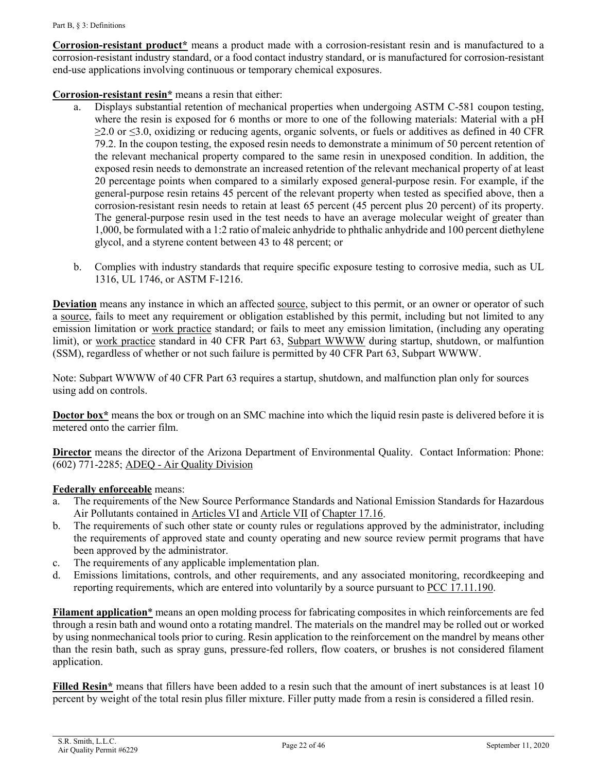**Corrosion-resistant product\*** means a product made with a corrosion-resistant resin and is manufactured to a corrosion-resistant industry standard, or a food contact industry standard, or is manufactured for corrosion-resistant end-use applications involving continuous or temporary chemical exposures.

**Corrosion-resistant resin\*** means a resin that either:

- a. Displays substantial retention of mechanical properties when undergoing ASTM C-581 coupon testing, where the resin is exposed for 6 months or more to one of the following materials: Material with a pH  $\geq$ 2.0 or  $\leq$ 3.0, oxidizing or reducing agents, organic solvents, or fuels or additives as defined in 40 CFR 79.2. In the coupon testing, the exposed resin needs to demonstrate a minimum of 50 percent retention of the relevant mechanical property compared to the same resin in unexposed condition. In addition, the exposed resin needs to demonstrate an increased retention of the relevant mechanical property of at least 20 percentage points when compared to a similarly exposed general-purpose resin. For example, if the general-purpose resin retains 45 percent of the relevant property when tested as specified above, then a corrosion-resistant resin needs to retain at least 65 percent (45 percent plus 20 percent) of its property. The general-purpose resin used in the test needs to have an average molecular weight of greater than 1,000, be formulated with a 1:2 ratio of maleic anhydride to phthalic anhydride and 100 percent diethylene glycol, and a styrene content between 43 to 48 percent; or
- b. Complies with industry standards that require specific exposure testing to corrosive media, such as UL 1316, UL 1746, or ASTM F-1216.

<span id="page-21-0"></span>**Deviation** means any instance in which an affected [source,](#page-25-0) subject to this permit, or an owner or operator of such a [source,](#page-25-0) fails to meet any requirement or obligation established by this permit, including but not limited to any emission limitation or [work practice](#page-26-0) standard; or fails to meet any emission limitation, (including any operating limit), or [work practice](#page-26-0) standard in 40 CFR Part 63, [Subpart WWWW](http://tinyurl.com/40-CFR-63-Subpart-WWWW) during startup, shutdown, or malfuntion (SSM), regardless of whether or not such failure is permitted by 40 CFR Part 63, Subpart WWWW.

Note: Subpart WWWW of 40 CFR Part 63 requires a startup, shutdown, and malfunction plan only for sources using add on controls.

**Doctor box\*** means the box or trough on an SMC machine into which the liquid resin paste is delivered before it is metered onto the carrier film.

**Director** means the director of the Arizona Department of Environmental Quality. Contact Information: Phone: (602) 771-2285; ADEQ - [Air Quality Division](https://azdeq.gov/AQ)

#### **Federally enforceable** means:

- The requirements of the New Source Performance Standards and National Emission Standards for Hazardous Air Pollutants contained in [Articles VI](https://tinyurl.com/PCC-17-16-articleIV) and [Article VII](https://tinyurl.com/PCC-17-16-articleVII) of [Chapter 17.16.](https://tinyurl.com/yxlchvn9)
- b. The requirements of such other state or county rules or regulations approved by the administrator, including the requirements of approved state and county operating and new source review permit programs that have been approved by the administrator.
- c. The requirements of any applicable implementation plan.
- d. Emissions limitations, controls, and other requirements, and any associated monitoring, recordkeeping and reporting requirements, which are entered into voluntarily by a source pursuant to [PCC 17.11.190.](https://tinyurl.com/PCC-17-11-190)

**Filament application**\* means an open molding process for fabricating composites in which reinforcements are fed through a resin bath and wound onto a rotating mandrel. The materials on the mandrel may be rolled out or worked by using nonmechanical tools prior to curing. Resin application to the reinforcement on the mandrel by means other than the resin bath, such as spray guns, pressure-fed rollers, flow coaters, or brushes is not considered filament application.

**Filled Resin\*** means that fillers have been added to a resin such that the amount of inert substances is at least 10 percent by weight of the total resin plus filler mixture. Filler putty made from a resin is considered a filled resin.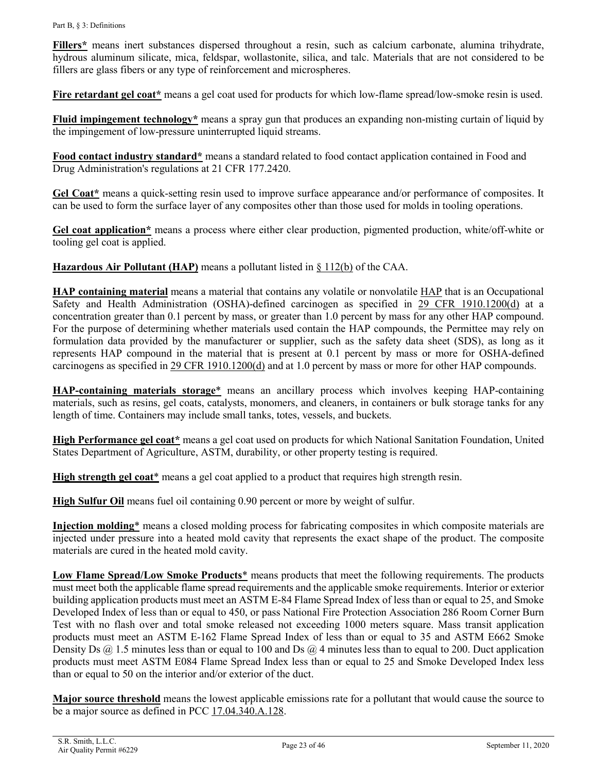**Fillers\*** means inert substances dispersed throughout a resin, such as calcium carbonate, alumina trihydrate, hydrous aluminum silicate, mica, feldspar, wollastonite, silica, and talc. Materials that are not considered to be fillers are glass fibers or any type of reinforcement and microspheres.

**Fire retardant gel coat\*** means a gel coat used for products for which low-flame spread/low-smoke resin is used.

**Fluid impingement technology\*** means a spray gun that produces an expanding non-misting curtain of liquid by the impingement of low-pressure uninterrupted liquid streams.

**Food contact industry standard\*** means a standard related to food contact application contained in Food and Drug Administration's regulations at 21 CFR 177.2420.

**Gel Coat\*** means a quick-setting resin used to improve surface appearance and/or performance of composites. It can be used to form the surface layer of any composites other than those used for molds in tooling operations.

**Gel coat application\*** means a process where either clear production, pigmented production, white/off-white or tooling gel coat is applied.

**Hazardous Air Pollutant (HAP)** means a pollutant listed in [§ 112\(b\)](https://tinyurl.com/SEC-112-CAA) of the CAA.

**HAP containing material** means a material that contains any volatile or nonvolatile HAP that is an Occupational Safety and Health Administration (OSHA)-defined carcinogen as specified in [29 CFR 1910.1200\(d\)](https://tinyurl.com/40-CFR-1919-1200-d) at a concentration greater than 0.1 percent by mass, or greater than 1.0 percent by mass for any other HAP compound. For the purpose of determining whether materials used contain the HAP compounds, the Permittee may rely on formulation data provided by the manufacturer or supplier, such as the safety data sheet (SDS), as long as it represents HAP compound in the material that is present at 0.1 percent by mass or more for OSHA-defined carcinogens as specified in [29 CFR 1910.1200\(d\)](https://tinyurl.com/40-CFR-1919-1200-d) and at 1.0 percent by mass or more for other HAP compounds.

<span id="page-22-0"></span>**HAP-containing materials storage**\* means an ancillary process which involves keeping HAP-containing materials, such as resins, gel coats, catalysts, monomers, and cleaners, in containers or bulk storage tanks for any length of time. Containers may include small tanks, totes, vessels, and buckets.

**High Performance gel coat\*** means a gel coat used on products for which National Sanitation Foundation, United States Department of Agriculture, ASTM, durability, or other property testing is required.

High strength gel coat<sup>\*</sup> means a gel coat applied to a product that requires high strength resin.

**High Sulfur Oil** means fuel oil containing 0.90 percent or more by weight of sulfur.

**Injection molding**\* means a closed molding process for fabricating composites in which composite materials are injected under pressure into a heated mold cavity that represents the exact shape of the product. The composite materials are cured in the heated mold cavity.

**Low Flame Spread/Low Smoke Products**\* means products that meet the following requirements. The products must meet both the applicable flame spread requirements and the applicable smoke requirements. Interior or exterior building application products must meet an ASTM E-84 Flame Spread Index of less than or equal to 25, and Smoke Developed Index of less than or equal to 450, or pass National Fire Protection Association 286 Room Corner Burn Test with no flash over and total smoke released not exceeding 1000 meters square. Mass transit application products must meet an ASTM E-162 Flame Spread Index of less than or equal to 35 and ASTM E662 Smoke Density Ds  $(a)$  1.5 minutes less than or equal to 100 and Ds  $(a)$  4 minutes less than to equal to 200. Duct application products must meet ASTM E084 Flame Spread Index less than or equal to 25 and Smoke Developed Index less than or equal to 50 on the interior and/or exterior of the duct.

**Major source threshold** means the lowest applicable emissions rate for a pollutant that would cause the source to be a major source as defined in PCC [17.04.340.A.128.](https://tinyurl.com/17-04-340)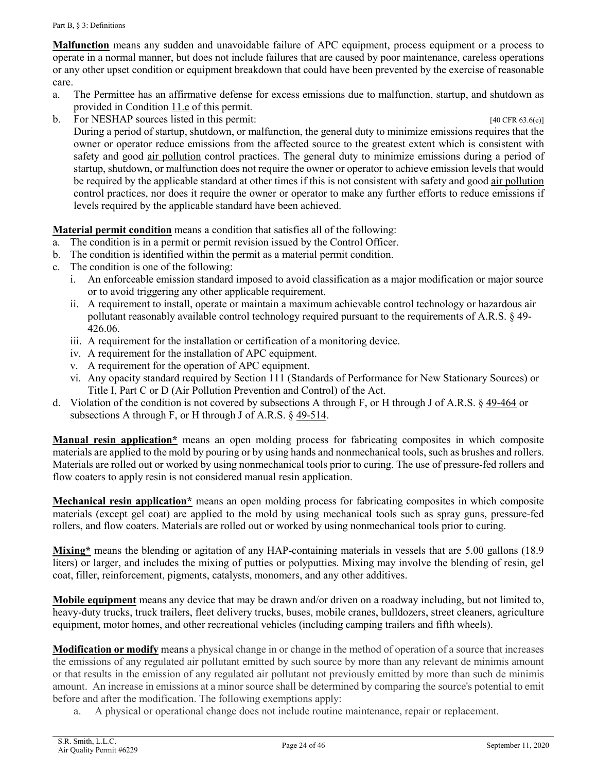<span id="page-23-1"></span>**Malfunction** means any sudden and unavoidable failure of APC equipment, process equipment or a process to operate in a normal manner, but does not include failures that are caused by poor maintenance, careless operations or any other upset condition or equipment breakdown that could have been prevented by the exercise of reasonable care.

- a. The Permittee has an affirmative defense for excess emissions due to malfunction, startup, and shutdown as provided in [Condition 11.e](#page-10-2) of this permit.
- b. For NESHAP sources listed in this permit: [40 CFR 63.6(e)]

During a period of startup, shutdown, or malfunction, the general duty to minimize emissions requires that the owner or operator reduce emissions from the affected source to the greatest extent which is consistent with safety and good [air pollution](#page-19-3) control practices. The general duty to minimize emissions during a period of startup, shutdown, or malfunction does not require the owner or operator to achieve emission levels that would be required by the applicable standard at other times if this is not consistent with safety and good [air pollution](#page-19-3) control practices, nor does it require the owner or operator to make any further efforts to reduce emissions if levels required by the applicable standard have been achieved.

### **Material permit condition** means a condition that satisfies all of the following:

- a. The condition is in a permit or permit revision issued by the Control Officer.
- b. The condition is identified within the permit as a material permit condition.
- c. The condition is one of the following:
	- i. An enforceable emission standard imposed to avoid classification as a major modification or major source or to avoid triggering any other applicable requirement.
	- ii. A requirement to install, operate or maintain a maximum achievable control technology or hazardous air pollutant reasonably available control technology required pursuant to the requirements of A.R.S. § 49- 426.06.
	- iii. A requirement for the installation or certification of a monitoring device.
	- iv. A requirement for the installation of APC equipment.
	- v. A requirement for the operation of APC equipment.
	- vi. Any opacity standard required by Section 111 (Standards of Performance for New Stationary Sources) or Title I, Part C or D (Air Pollution Prevention and Control) of the Act.
- d. Violation of the condition is not covered by subsections A through F, or H through J of A.R.S. § [49-464](https://www.azleg.gov/viewdocument/?docName=https://www.azleg.gov/ars/49/00464.htm) or subsections A through F, or H through J of A.R.S. § [49-514.](https://www.azleg.gov/viewdocument/?docName=https://www.azleg.gov/ars/49/00514.htm)

**Manual resin application\*** means an open molding process for fabricating composites in which composite materials are applied to the mold by pouring or by using hands and nonmechanical tools, such as brushes and rollers. Materials are rolled out or worked by using nonmechanical tools prior to curing. The use of pressure-fed rollers and flow coaters to apply resin is not considered manual resin application.

**Mechanical resin application\*** means an open molding process for fabricating composites in which composite materials (except gel coat) are applied to the mold by using mechanical tools such as spray guns, pressure-fed rollers, and flow coaters. Materials are rolled out or worked by using nonmechanical tools prior to curing.

<span id="page-23-0"></span>**Mixing\*** means the blending or agitation of any HAP-containing materials in vessels that are 5.00 gallons (18.9 liters) or larger, and includes the mixing of putties or polyputties. Mixing may involve the blending of resin, gel coat, filler, reinforcement, pigments, catalysts, monomers, and any other additives.

**Mobile equipment** means any device that may be drawn and/or driven on a roadway including, but not limited to, heavy-duty trucks, truck trailers, fleet delivery trucks, buses, mobile cranes, bulldozers, street cleaners, agriculture equipment, motor homes, and other recreational vehicles (including camping trailers and fifth wheels).

**Modification or modify** means a physical change in or change in the method of operation of a source that increases the emissions of any regulated air pollutant emitted by such source by more than any relevant de minimis amount or that results in the emission of any regulated air pollutant not previously emitted by more than such de minimis amount. An increase in emissions at a minor source shall be determined by comparing the source's potential to emit before and after the modification. The following exemptions apply:

a. A physical or operational change does not include routine maintenance, repair or replacement.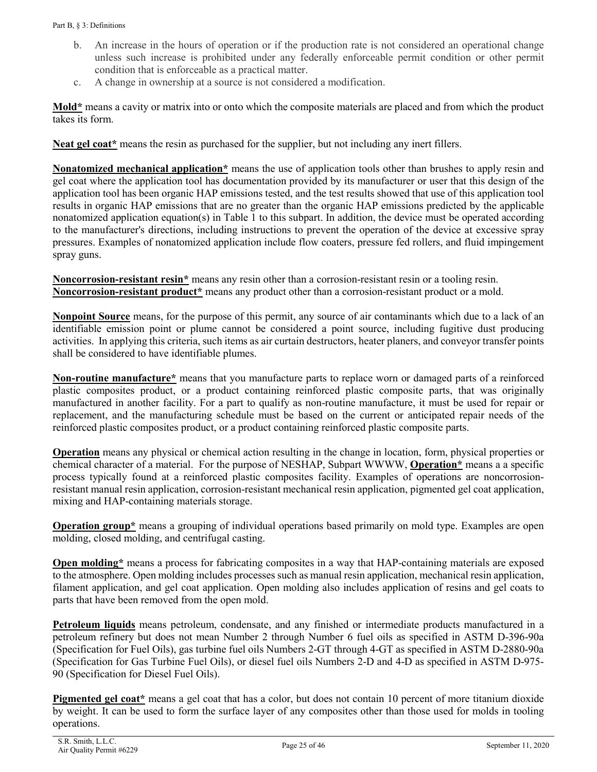- b. An increase in the hours of operation or if the production rate is not considered an operational change unless such increase is prohibited under any federally enforceable permit condition or other permit condition that is enforceable as a practical matter.
- c. A change in ownership at a source is not considered a modification.

**Mold\*** means a cavity or matrix into or onto which the composite materials are placed and from which the product takes its form.

Neat gel coat<sup>\*</sup> means the resin as purchased for the supplier, but not including any inert fillers.

**Nonatomized mechanical application\*** means the use of application tools other than brushes to apply resin and gel coat where the application tool has documentation provided by its manufacturer or user that this design of the application tool has been organic HAP emissions tested, and the test results showed that use of this application tool results in organic HAP emissions that are no greater than the organic HAP emissions predicted by the applicable nonatomized application equation(s) in Table 1 to this subpart. In addition, the device must be operated according to the manufacturer's directions, including instructions to prevent the operation of the device at excessive spray pressures. Examples of nonatomized application include flow coaters, pressure fed rollers, and fluid impingement spray guns.

**Noncorrosion-resistant resin\*** means any resin other than a corrosion-resistant resin or a tooling resin. **Noncorrosion-resistant product\*** means any product other than a corrosion-resistant product or a mold.

<span id="page-24-0"></span>**Nonpoint Source** means, for the purpose of this permit, any source of air contaminants which due to a lack of an identifiable emission point or plume cannot be considered a point source, including fugitive dust producing activities. In applying this criteria, such items as air curtain destructors, heater planers, and conveyor transfer points shall be considered to have identifiable plumes.

**Non-routine manufacture\*** means that you manufacture parts to replace worn or damaged parts of a reinforced plastic composites product, or a product containing reinforced plastic composite parts, that was originally manufactured in another facility. For a part to qualify as non-routine manufacture, it must be used for repair or replacement, and the manufacturing schedule must be based on the current or anticipated repair needs of the reinforced plastic composites product, or a product containing reinforced plastic composite parts.

**Operation** means any physical or chemical action resulting in the change in location, form, physical properties or chemical character of a material. For the purpose of NESHAP, Subpart WWWW, **Operation\*** means a a specific process typically found at a reinforced plastic composites facility. Examples of operations are noncorrosionresistant manual resin application, corrosion-resistant mechanical resin application, pigmented gel coat application, mixing and HAP-containing materials storage.

**Operation group\*** means a grouping of individual operations based primarily on mold type. Examples are open molding, closed molding, and centrifugal casting.

**Open molding\*** means a process for fabricating composites in a way that HAP-containing materials are exposed to the atmosphere. Open molding includes processes such as manual resin application, mechanical resin application, filament application, and gel coat application. Open molding also includes application of resins and gel coats to parts that have been removed from the open mold.

**Petroleum liquids** means petroleum, condensate, and any finished or intermediate products manufactured in a petroleum refinery but does not mean Number 2 through Number 6 fuel oils as specified in ASTM D-396-90a (Specification for Fuel Oils), gas turbine fuel oils Numbers 2-GT through 4-GT as specified in ASTM D-2880-90a (Specification for Gas Turbine Fuel Oils), or diesel fuel oils Numbers 2-D and 4-D as specified in ASTM D-975- 90 (Specification for Diesel Fuel Oils).

**Pigmented gel coat\*** means a gel coat that has a color, but does not contain 10 percent of more titanium dioxide by weight. It can be used to form the surface layer of any composites other than those used for molds in tooling operations.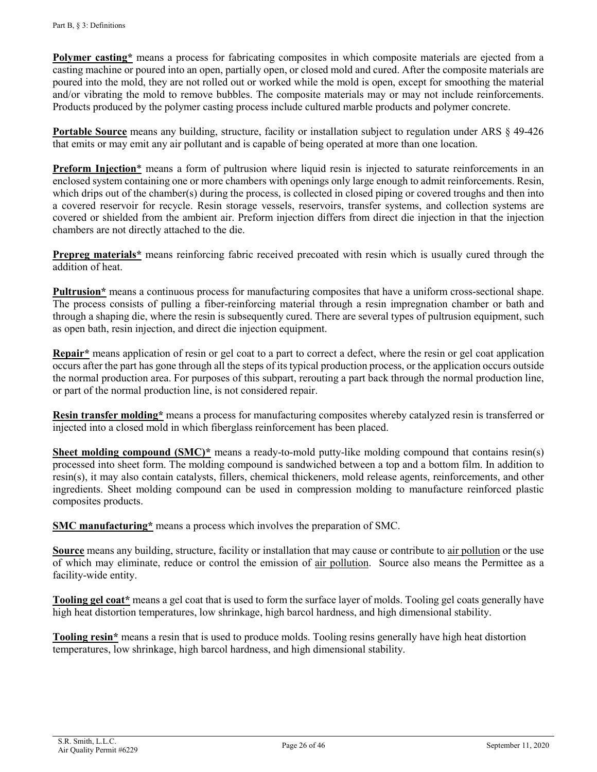**Polymer casting**<sup>\*</sup> means a process for fabricating composites in which composite materials are ejected from a casting machine or poured into an open, partially open, or closed mold and cured. After the composite materials are poured into the mold, they are not rolled out or worked while the mold is open, except for smoothing the material and/or vibrating the mold to remove bubbles. The composite materials may or may not include reinforcements. Products produced by the polymer casting process include cultured marble products and polymer concrete.

**Portable Source** means any building, structure, facility or installation subject to regulation under ARS § 49-426 that emits or may emit any air pollutant and is capable of being operated at more than one location.

**Preform Injection**<sup>\*</sup> means a form of pultrusion where liquid resin is injected to saturate reinforcements in an enclosed system containing one or more chambers with openings only large enough to admit reinforcements. Resin, which drips out of the chamber(s) during the process, is collected in closed piping or covered troughs and then into a covered reservoir for recycle. Resin storage vessels, reservoirs, transfer systems, and collection systems are covered or shielded from the ambient air. Preform injection differs from direct die injection in that the injection chambers are not directly attached to the die.

**Prepreg materials**<sup>\*</sup> means reinforcing fabric received precoated with resin which is usually cured through the addition of heat.

**Pultrusion\*** means a continuous process for manufacturing composites that have a uniform cross-sectional shape. The process consists of pulling a fiber-reinforcing material through a resin impregnation chamber or bath and through a shaping die, where the resin is subsequently cured. There are several types of pultrusion equipment, such as open bath, resin injection, and direct die injection equipment.

**Repair\*** means application of resin or gel coat to a part to correct a defect, where the resin or gel coat application occurs after the part has gone through all the steps of its typical production process, or the application occurs outside the normal production area. For purposes of this subpart, rerouting a part back through the normal production line, or part of the normal production line, is not considered repair.

**Resin transfer molding\*** means a process for manufacturing composites whereby catalyzed resin is transferred or injected into a closed mold in which fiberglass reinforcement has been placed.

**Sheet molding compound (SMC)\*** means a ready-to-mold putty-like molding compound that contains resin(s) processed into sheet form. The molding compound is sandwiched between a top and a bottom film. In addition to resin(s), it may also contain catalysts, fillers, chemical thickeners, mold release agents, reinforcements, and other ingredients. Sheet molding compound can be used in compression molding to manufacture reinforced plastic composites products.

**SMC manufacturing\*** means a process which involves the preparation of SMC.

<span id="page-25-0"></span>**Source** means any building, structure, facility or installation that may cause or contribute to [air pollution](#page-19-3) or the use of which may eliminate, reduce or control the emission of [air pollution.](#page-19-3) Source also means the Permittee as a facility-wide entity.

**Tooling gel coat\*** means a gel coat that is used to form the surface layer of molds. Tooling gel coats generally have high heat distortion temperatures, low shrinkage, high barcol hardness, and high dimensional stability.

**Tooling resin\*** means a resin that is used to produce molds. Tooling resins generally have high heat distortion temperatures, low shrinkage, high barcol hardness, and high dimensional stability.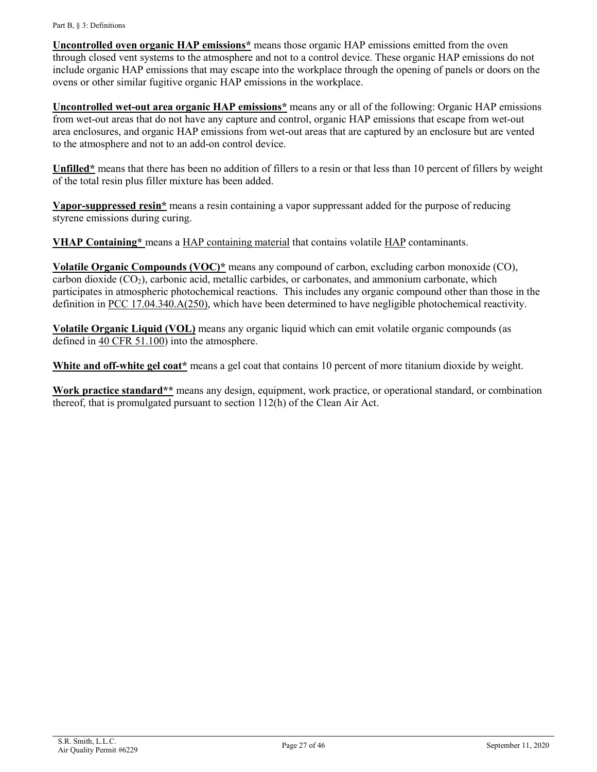**Uncontrolled oven organic HAP emissions\*** means those organic HAP emissions emitted from the oven through closed vent systems to the atmosphere and not to a control device. These organic HAP emissions do not include organic HAP emissions that may escape into the workplace through the opening of panels or doors on the ovens or other similar fugitive organic HAP emissions in the workplace.

**Uncontrolled wet-out area organic HAP emissions\*** means any or all of the following: Organic HAP emissions from wet-out areas that do not have any capture and control, organic HAP emissions that escape from wet-out area enclosures, and organic HAP emissions from wet-out areas that are captured by an enclosure but are vented to the atmosphere and not to an add-on control device.

**Unfilled\*** means that there has been no addition of fillers to a resin or that less than 10 percent of fillers by weight of the total resin plus filler mixture has been added.

**Vapor-suppressed resin\*** means a resin containing a vapor suppressant added for the purpose of reducing styrene emissions during curing.

**VHAP Containing\*** means a HAP containing material that contains volatile HAP contaminants.

**Volatile Organic Compounds (VOC)\*** means any compound of carbon, excluding carbon monoxide (CO), carbon dioxide  $(CO<sub>2</sub>)$ , carbonic acid, metallic carbides, or carbonates, and ammonium carbonate, which participates in atmospheric photochemical reactions. This includes any organic compound other than those in the definition in [PCC 17.04.340.A\(250\),](http://library.amlegal.com/nxt/gateway.dll/Arizona/pimacounty_az/title17airqualitycontrol?f=templates$fn=default.htm$3.0$vid=amlegal:pimacounty_az$anc=JD_17.04.340) which have been determined to have negligible photochemical reactivity.

**Volatile Organic Liquid (VOL)** means any organic liquid which can emit volatile organic compounds (as defined in [40 CFR 51.100\)](https://tinyurl.com/40-CFR-51-100-def) into the atmosphere.

**White and off-white gel coat\*** means a gel coat that contains 10 percent of more titanium dioxide by weight.

<span id="page-26-0"></span>**Work practice standard\*\*** means any design, equipment, work practice, or operational standard, or combination thereof, that is promulgated pursuant to section 112(h) of the Clean Air Act.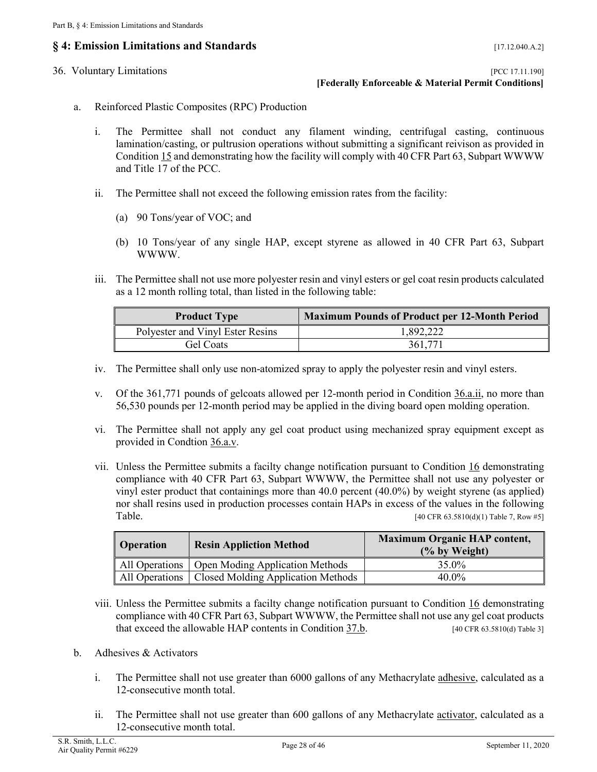### <span id="page-27-0"></span>**§ 4: Emission Limitations and Standards** [17.12.040.A.2]

<span id="page-27-1"></span>

36. Voluntary Limitations [PCC 17.11.190] **[Federally Enforceable & Material Permit Conditions]**

- <span id="page-27-4"></span><span id="page-27-2"></span>a. Reinforced Plastic Composites (RPC) Production
	- i. The Permittee shall not conduct any filament winding, centrifugal casting, continuous lamination/casting, or pultrusion operations without submitting a significant reivison as provided in [Condition 15](#page-13-0) and demonstrating how the facility will comply with 40 CFR Part 63, Subpart WWWW and Title 17 of the PCC.
	- ii. The Permittee shall not exceed the following emission rates from the facility:
		- (a) 90 Tons/year of VOC; and
		- (b) 10 Tons/year of any single HAP, except styrene as allowed in 40 CFR Part 63, Subpart WWWW.
	- iii. The Permittee shall not use more polyester resin and vinyl esters or gel coat resin products calculated as a 12 month rolling total, than listed in the following table:

<span id="page-27-6"></span>

| <b>Product Type</b>              | <b>Maximum Pounds of Product per 12-Month Period</b> |
|----------------------------------|------------------------------------------------------|
| Polyester and Vinyl Ester Resins | 1,892,222                                            |
| Gel Coats                        | 361,771                                              |

- <span id="page-27-7"></span>iv. The Permittee shall only use non-atomized spray to apply the polyester resin and vinyl esters.
- <span id="page-27-5"></span>v. Of the 361,771 pounds of gelcoats allowed per 12-month period in [Condition 36.a.ii,](#page-27-4) no more than 56,530 pounds per 12-month period may be applied in the diving board open molding operation.
- <span id="page-27-10"></span>vi. The Permittee shall not apply any gel coat product using mechanized spray equipment except as provided in [Condtion 36.a.v.](#page-27-5)
- <span id="page-27-8"></span>vii. Unless the Permittee submits a facilty change notification pursuant to [Condition 16](#page-13-1) demonstrating compliance with 40 CFR Part 63, Subpart WWWW, the Permittee shall not use any polyester or vinyl ester product that containings more than 40.0 percent (40.0%) by weight styrene (as applied) nor shall resins used in production processes contain HAPs in excess of the values in the following Table. [40 CFR 63.5810(d)(1) Table 7, Row #5]

| Operation | <b>Resin Appliction Method</b>                      | <b>Maximum Organic HAP content,</b><br>(% by Weight) |
|-----------|-----------------------------------------------------|------------------------------------------------------|
|           | All Operations   Open Moding Application Methods    | 35.0%                                                |
|           | All Operations   Closed Molding Application Methods | $40.0\%$                                             |

- <span id="page-27-9"></span>viii. Unless the Permittee submits a facilty change notification pursuant to [Condition 16](#page-13-1) demonstrating compliance with 40 CFR Part 63, Subpart WWWW, the Permittee shall not use any gel coat products that exceed the allowable HAP contents in Condition  $37.b$ . [40 CFR 63.5810(d) Table 3]
- <span id="page-27-12"></span><span id="page-27-11"></span><span id="page-27-3"></span>b. Adhesives & Activators
	- i. The Permittee shall not use greater than 6000 gallons of any Methacrylate [adhesive,](#page-19-4) calculated as a 12-consecutive month total.
	- ii. The Permittee shall not use greater than 600 gallons of any Methacrylate [activator,](#page-19-2) calculated as a 12-consecutive month total.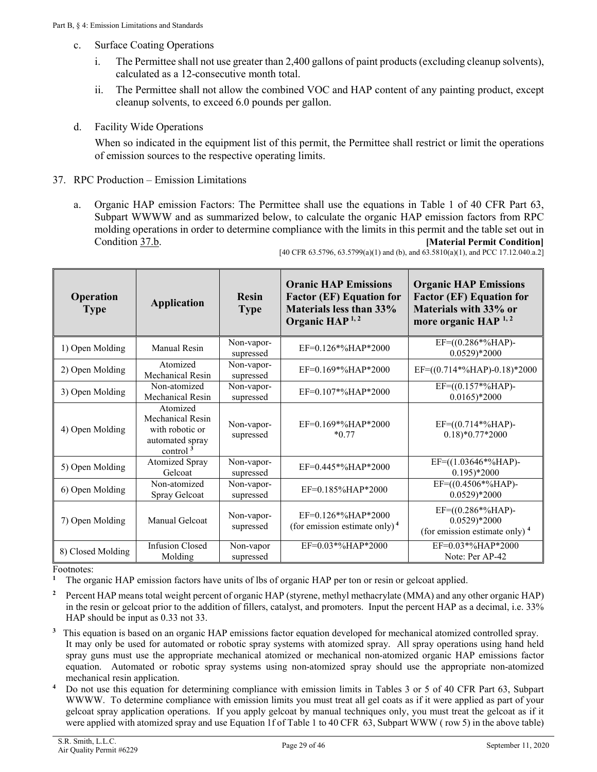- <span id="page-28-0"></span>c. Surface Coating Operations
	- i. The Permittee shall not use greater than 2,400 gallons of paint products (excluding cleanup solvents), calculated as a 12-consecutive month total.
	- ii. The Permittee shall not allow the combined VOC and HAP content of any painting product, except cleanup solvents, to exceed 6.0 pounds per gallon.
- <span id="page-28-1"></span>d. Facility Wide Operations

When so indicated in the equipment list of this permit, the Permittee shall restrict or limit the operations of emission sources to the respective operating limits.

- <span id="page-28-3"></span><span id="page-28-2"></span>37. RPC Production – Emission Limitations
	- a. Organic HAP emission Factors: The Permittee shall use the equations in Table 1 of 40 CFR Part 63, Subpart WWWW and as summarized below, to calculate the organic HAP emission factors from RPC molding operations in order to determine compliance with the limits in this permit and the table set out in [Condition](#page-29-0) 37.b. **[Material Permit Condition]**

| <b>Operation</b><br><b>Type</b> | <b>Application</b>                                                                | <b>Resin</b><br><b>Type</b> | <b>Oranic HAP Emissions</b><br><b>Factor (EF) Equation for</b><br>Materials less than 33%<br>Organic HAP <sup>1,2</sup> | <b>Organic HAP Emissions</b><br><b>Factor (EF) Equation for</b><br>Materials with 33% or<br>more organic HAP <sup>1,2</sup> |
|---------------------------------|-----------------------------------------------------------------------------------|-----------------------------|-------------------------------------------------------------------------------------------------------------------------|-----------------------------------------------------------------------------------------------------------------------------|
| 1) Open Molding                 | Manual Resin                                                                      | Non-vapor-<br>supressed     | $EF=0.126*%HAP*2000$                                                                                                    | $EF=(0.286*%HAP)-$<br>$0.0529$ <sup>*</sup> 2000                                                                            |
| 2) Open Molding                 | Atomized<br>Mechanical Resin                                                      | Non-vapor-<br>supressed     | $EF=0.169*%HAP*2000$                                                                                                    | EF= $((0.714*%HAP)-0.18)*2000$                                                                                              |
| 3) Open Molding                 | Non-atomized<br>Mechanical Resin                                                  | Non-vapor-<br>supressed     | $EF=0.107*%HAP*2000$                                                                                                    | $EF=(0.157*%HAP)$ -<br>$0.0165$ <sup>*</sup> 2000                                                                           |
| 4) Open Molding                 | Atomized<br>Mechanical Resin<br>with robotic or<br>automated spray<br>control $3$ | Non-vapor-<br>supressed     | $EF=0.169*%HAP*2000$<br>$*0.77$                                                                                         | $EF=(0.714*%HAP)$<br>$0.18$ <sup>*</sup> $0.77$ <sup>*</sup> 2000                                                           |
| 5) Open Molding                 | <b>Atomized Spray</b><br>Gelcoat                                                  | Non-vapor-<br>supressed     | $EF=0.445*%HAP*2000$                                                                                                    | $EF=((1.03646*%HAP)-$<br>$0.195$ <sup>*</sup> 2000                                                                          |
| 6) Open Molding                 | Non-atomized<br>Spray Gelcoat                                                     | Non-vapor-<br>supressed     | $EF=0.185\% HAP*2000$                                                                                                   | $EF=($ (0.4506*%HAP)-<br>$0.0529$ <sup>*</sup> 2000                                                                         |
| 7) Open Molding                 | Manual Gelcoat                                                                    | Non-vapor-<br>supressed     | $EF=0.126*%HAP*2000$<br>(for emission estimate only) $4$                                                                | $EF=(0.286*%HAP)$ -<br>$0.0529$ <sup>*</sup> 2000<br>(for emission estimate only) <sup>4</sup>                              |
| 8) Closed Molding               | <b>Infusion Closed</b><br>Molding                                                 | Non-vapor<br>supressed      | $EF=0.03*%HAP*2000$                                                                                                     | $EF=0.03*%HAP*2000$<br>Note: Per AP-42                                                                                      |

[40 CFR 63.5796, 63.5799(a)(1) and (b), and 63.5810(a)(1), and PCC 17.12.040.a.2]

Footnotes:

**<sup>1</sup>** The organic HAP emission factors have units of lbs of organic HAP per ton or resin or gelcoat applied.

- **<sup>2</sup>** Percent HAP means total weight percent of organic HAP (styrene, methyl methacrylate (MMA) and any other organic HAP) in the resin or gelcoat prior to the addition of fillers, catalyst, and promoters. Input the percent HAP as a decimal, i.e. 33% HAP should be input as 0.33 not 33.
- **3** This equation is based on an organic HAP emissions factor equation developed for mechanical atomized controlled spray. It may only be used for automated or robotic spray systems with atomized spray. All spray operations using hand held spray guns must use the appropriate mechanical atomized or mechanical non-atomized organic HAP emissions factor equation. Automated or robotic spray systems using non-atomized spray should use the appropriate non-atomized mechanical resin application.
- **<sup>4</sup>** Do not use this equation for determining compliance with emission limits in Tables 3 or 5 of 40 CFR Part 63, Subpart WWWW. To determine compliance with emission limits you must treat all gel coats as if it were applied as part of your gelcoat spray application operations. If you apply gelcoat by manual techniques only, you must treat the gelcoat as if it were applied with atomized spray and use Equation 1f of Table 1 to 40 CFR 63, Subpart WWW ( row 5) in the above table)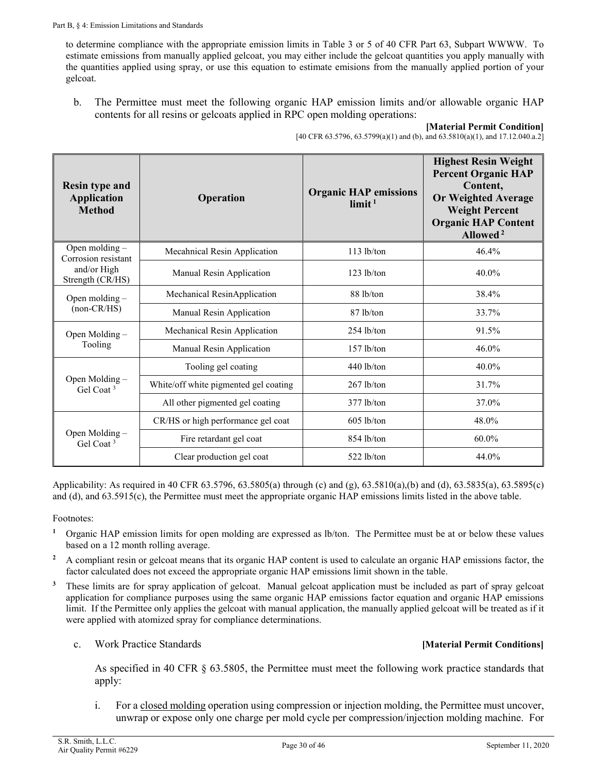to determine compliance with the appropriate emission limits in Table 3 or 5 of 40 CFR Part 63, Subpart WWWW. To estimate emissions from manually applied gelcoat, you may either include the gelcoat quantities you apply manually with the quantities applied using spray, or use this equation to estimate emisions from the manually applied portion of your gelcoat.

<span id="page-29-0"></span>b. The Permittee must meet the following organic HAP emission limits and/or allowable organic HAP contents for all resins or gelcoats applied in RPC open molding operations:

**[Material Permit Condition]** [40 CFR 63.5796, 63.5799(a)(1) and (b), and 63.5810(a)(1), and 17.12.040.a.2]

| <b>Resin type and</b><br><b>Application</b><br><b>Method</b> | Operation                             | <b>Organic HAP emissions</b><br>$\lim$ it <sup>1</sup> | <b>Highest Resin Weight</b><br><b>Percent Organic HAP</b><br>Content,<br><b>Or Weighted Average</b><br><b>Weight Percent</b><br><b>Organic HAP Content</b><br>Allowed <sup>2</sup> |
|--------------------------------------------------------------|---------------------------------------|--------------------------------------------------------|------------------------------------------------------------------------------------------------------------------------------------------------------------------------------------|
| Open molding -<br>Corrosion resistant                        | Mecahnical Resin Application          | $113$ lb/ton                                           | 46.4%                                                                                                                                                                              |
| and/or High<br>Strength (CR/HS)                              | Manual Resin Application              | $123$ lb/ton                                           | 40.0%                                                                                                                                                                              |
| Open molding $-$                                             | Mechanical ResinApplication           | 88 lb/ton                                              | 38.4%                                                                                                                                                                              |
| $non-CR/HS)$                                                 | Manual Resin Application              | 87 lb/ton                                              | 33.7%                                                                                                                                                                              |
| Open Molding -                                               | Mechanical Resin Application          | $254$ lb/ton                                           | 91.5%                                                                                                                                                                              |
| Tooling                                                      | Manual Resin Application              | $157$ lb/ton                                           | $46.0\%$                                                                                                                                                                           |
|                                                              | Tooling gel coating                   | $440$ lb/ton                                           | 40.0%                                                                                                                                                                              |
| Open Molding -<br>Gel Coat <sup>3</sup>                      | White/off white pigmented gel coating | $267$ lb/ton                                           | 31.7%                                                                                                                                                                              |
|                                                              | All other pigmented gel coating       | $377$ lb/ton                                           | 37.0%                                                                                                                                                                              |
|                                                              | CR/HS or high performance gel coat    | $605$ lb/ton                                           | 48.0%                                                                                                                                                                              |
| Open Molding -<br>Gel Coat <sup>3</sup>                      | Fire retardant gel coat               | $854$ lb/ton                                           | 60.0%                                                                                                                                                                              |
|                                                              | Clear production gel coat             | 522 lb/ton                                             | 44.0%                                                                                                                                                                              |

Applicability: As required in 40 CFR 63.5796, 63.5805(a) through (c) and (g), 63.5810(a),(b) and (d), 63.5835(a), 63.5895(c) and (d), and 63.5915(c), the Permittee must meet the appropriate organic HAP emissions limits listed in the above table.

Footnotes:

- **<sup>1</sup>** Organic HAP emission limits for open molding are expressed as lb/ton. The Permittee must be at or below these values based on a 12 month rolling average.
- <sup>2</sup> A compliant resin or gelcoat means that its organic HAP content is used to calculate an organic HAP emissions factor, the factor calculated does not exceed the appropriate organic HAP emissions limit shown in the table.
- <sup>3</sup> These limits are for spray application of gelcoat. Manual gelcoat application must be included as part of spray gelcoat application for compliance purposes using the same organic HAP emissions factor equation and organic HAP emissions limit. If the Permittee only applies the gelcoat with manual application, the manually applied gelcoat will be treated as if it were applied with atomized spray for compliance determinations.
	- c. Work Practice Standards **[Material Permit Conditions]**

<span id="page-29-1"></span>As specified in 40 CFR § 63.5805, the Permittee must meet the following work practice standards that apply:

i. For [a closed molding](#page-20-1) operation using compression or injection molding, the Permittee must uncover, unwrap or expose only one charge per mold cycle per compression/injection molding machine. For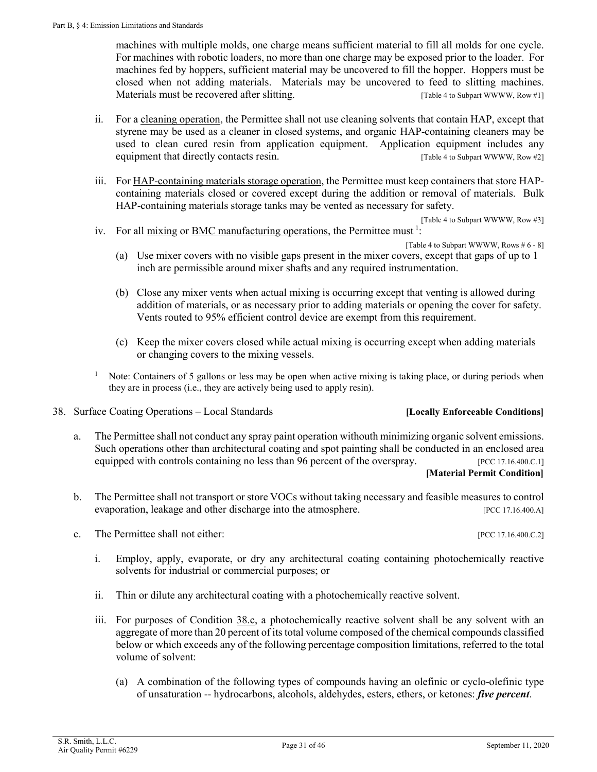machines with multiple molds, one charge means sufficient material to fill all molds for one cycle. For machines with robotic loaders, no more than one charge may be exposed prior to the loader. For machines fed by hoppers, sufficient material may be uncovered to fill the hopper. Hoppers must be closed when not adding materials. Materials may be uncovered to feed to slitting machines. Materials must be recovered after slitting. The state of the subpart WWWW, Row #1]

- <span id="page-30-3"></span>ii. For a [cleaning operation,](#page-19-5) the Permittee shall not use cleaning solvents that contain HAP, except that styrene may be used as a cleaner in closed systems, and organic HAP-containing cleaners may be used to clean cured resin from application equipment. Application equipment includes any equipment that directly contacts resin. [Table 4 to Subpart WWWW, Row #2]
- <span id="page-30-4"></span>iii. Fo[r HAP-containing materials storage operation,](#page-22-0) the Permittee must keep containers that store HAPcontaining materials closed or covered except during the addition or removal of materials. Bulk HAP-containing materials storage tanks may be vented as necessary for safety.

[Table 4 to Subpart WWWW, Row #3]

<span id="page-30-5"></span>iv. For all [mixing](#page-23-0) or [BMC manufacturing operations,](#page-19-1) the Permittee must<sup>1</sup>:

[Table 4 to Subpart WWWW, Rows # 6 - 8]

- (a) Use mixer covers with no visible gaps present in the mixer covers, except that gaps of up to 1 inch are permissible around mixer shafts and any required instrumentation.
- (b) Close any mixer vents when actual mixing is occurring except that venting is allowed during addition of materials, or as necessary prior to adding materials or opening the cover for safety. Vents routed to 95% efficient control device are exempt from this requirement.
- (c) Keep the mixer covers closed while actual mixing is occurring except when adding materials or changing covers to the mixing vessels.
- Note: Containers of 5 gallons or less may be open when active mixing is taking place, or during periods when they are in process (i.e., they are actively being used to apply resin).
- <span id="page-30-0"></span>38. Surface Coating Operations – Local Standards **[Locally Enforceable Conditions]**

#### a. The Permittee shall not conduct any spray paint operation withouth minimizing organic solvent emissions. Such operations other than architectural coating and spot painting shall be conducted in an enclosed area equipped with controls containing no less than 96 percent of the overspray. [PCC 17.16.400.C.1] **[Material Permit Condition]**

- 
- b. The Permittee shall not transport or store VOCs without taking necessary and feasible measures to control evaporation, leakage and other discharge into the atmosphere. [PCC 17.16.400.A]
- <span id="page-30-2"></span><span id="page-30-1"></span>c. The Permittee shall not either: [PCC 17.16.400.C.2]
	- i. Employ, apply, evaporate, or dry any architectural coating containing photochemically reactive solvents for industrial or commercial purposes; or
	- ii. Thin or dilute any architectural coating with a photochemically reactive solvent.
	- iii. For purposes of [Condition 38.c,](#page-30-1) a photochemically reactive solvent shall be any solvent with an aggregate of more than 20 percent of its total volume composed of the chemical compounds classified below or which exceeds any of the following percentage composition limitations, referred to the total volume of solvent:
		- (a) A combination of the following types of compounds having an olefinic or cyclo-olefinic type of unsaturation -- hydrocarbons, alcohols, aldehydes, esters, ethers, or ketones: *five percent*.

S.R. Smith, L.L.C. Air Quality Permit #6229 Page 31 of 46 Page 31 of 46 September 11, 2020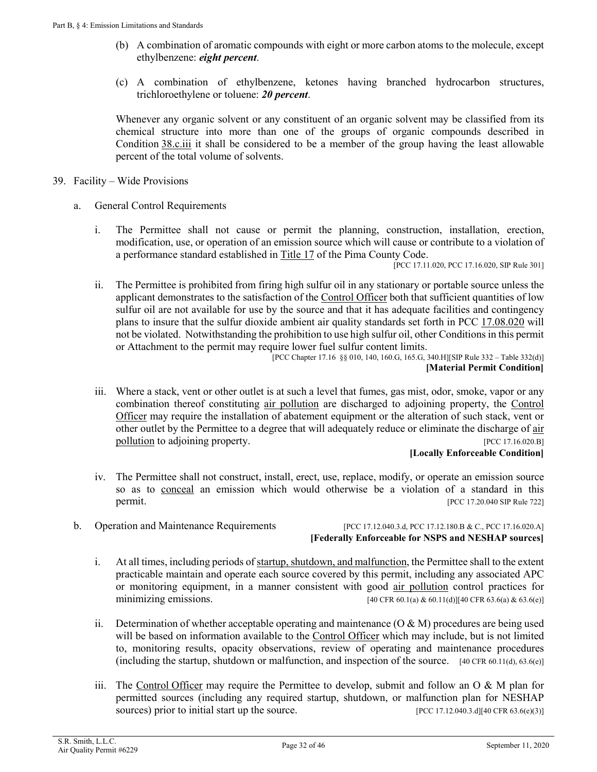- (b) A combination of aromatic compounds with eight or more carbon atoms to the molecule, except ethylbenzene: *eight percent*.
- (c) A combination of ethylbenzene, ketones having branched hydrocarbon structures, trichloroethylene or toluene: *20 percent*.

Whenever any organic solvent or any constituent of an organic solvent may be classified from its chemical structure into more than one of the groups of organic compounds described in [Condition](#page-30-2) 38.c.iii it shall be considered to be a member of the group having the least allowable percent of the total volume of solvents.

- <span id="page-31-1"></span><span id="page-31-0"></span>39. Facility – Wide Provisions
	- a. General Control Requirements
		- i. The Permittee shall not cause or permit the planning, construction, installation, erection, modification, use, or operation of an emission source which will cause or contribute to a violation of a performance standard established i[n Title 17](https://tinyurl.com/PCC-17-00-00) of the Pima County Code.

[PCC 17.11.020, PCC 17.16.020, SIP Rule 301]

ii. The Permittee is prohibited from firing high sulfur oil in any stationary or portable source unless the applicant demonstrates to the satisfaction of the [Control](#page-20-0) Officer both that sufficient quantities of low sulfur oil are not available for use by the source and that it has adequate facilities and contingency plans to insure that the sulfur dioxide ambient air quality standards set forth in [PCC 17.08.020](https://tinyurl.com/PCC-17-08-020) will not be violated. Notwithstanding the prohibition to use high sulfur oil, other Conditions in this permit or Attachment to the permit may require lower fuel sulfur content limits.

[PCC Chapter 17.16 §§ 010, 140, 160.G, 165.G, 340.H][SIP Rule 332 – Table 332(d)] **[Material Permit Condition]**

iii. Where a stack, vent or other outlet is at such a level that fumes, gas mist, odor, smoke, vapor or any combination thereof constituting air [pollution](#page-19-3) are discharged to adjoining property, the [Control](#page-20-0) [Officer](#page-20-0) may require the installation of abatement equipment or the alteration of such stack, vent or other outlet by the Permittee to a degree that will adequately reduce or eliminate the discharge of air [pollution](#page-19-3) to adjoining property. The set of the set of the set of the set of the set of the set of the set of the set of the set of the set of the set of the set of the set of the set of the set of the set of the set of th

#### **[Locally Enforceable Condition]**

- iv. The Permittee shall not construct, install, erect, use, replace, modify, or operate an emission source so as to [conceal](#page-20-2) an emission which would otherwise be a violation of a standard in this **permit.** [PCC 17.20.040 SIP Rule 722]
- <span id="page-31-2"></span>

b. Operation and Maintenance Requirements [PCC 17.12.040.3.d, PCC 17.12.180.B & C., PCC 17.16.020.A] **[Federally Enforceable for NSPS and NESHAP sources]**

- i. At all times, including periods of startup, shutdown, and malfunction, the Permittee shall to the extent practicable maintain and operate each source covered by this permit, including any associated APC or monitoring equipment, in a manner consistent with good [air pollution](#page-19-3) control practices for minimizing emissions.  $[40 \text{ CFR } 60.1(a) \& 60.11(d)] [40 \text{ CFR } 63.6(a) \& 63.6(e)]$
- ii. Determination of whether acceptable operating and maintenance  $(O & M)$  procedures are being used will be based on information available to the [Control Officer](#page-20-0) which may include, but is not limited to, monitoring results, opacity observations, review of operating and maintenance procedures (including the startup, shutdown or malfunction, and inspection of the source. [40 CFR 60.11(d), 63.6(e)]
- iii. The [Control](#page-20-0) Officer may require the Permittee to develop, submit and follow an O & M plan for permitted sources (including any required startup, shutdown, or malfunction plan for NESHAP sources) prior to initial start up the source. [PCC 17.12.040.3.d][40 CFR 63.6(e)(3)]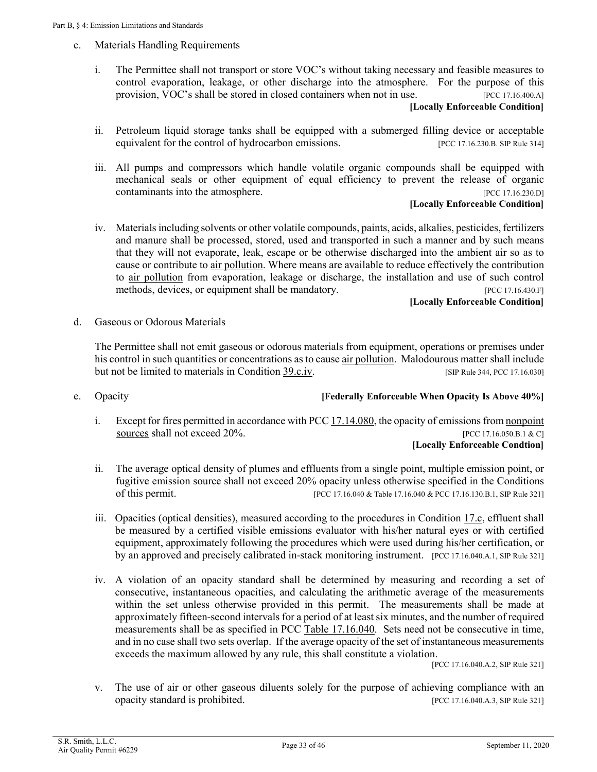- <span id="page-32-0"></span>c. Materials Handling Requirements
	- i. The Permittee shall not transport or store VOC's without taking necessary and feasible measures to control evaporation, leakage, or other discharge into the atmosphere. For the purpose of this provision, VOC's shall be stored in closed containers when not in use. [PCC 17.16.400.A] **[Locally Enforceable Condition]**
	- ii. Petroleum liquid storage tanks shall be equipped with a submerged filling device or acceptable equivalent for the control of hydrocarbon emissions. [PCC 17.16.230.B. SIP Rule 314]
	- iii. All pumps and compressors which handle volatile organic compounds shall be equipped with mechanical seals or other equipment of equal efficiency to prevent the release of organic contaminants into the atmosphere. [PCC 17.16.230.D]

#### **[Locally Enforceable Condition]**

<span id="page-32-2"></span>iv. Materials including solvents or other volatile compounds, paints, acids, alkalies, pesticides, fertilizers and manure shall be processed, stored, used and transported in such a manner and by such means that they will not evaporate, leak, escape or be otherwise discharged into the ambient air so as to cause or contribute to [air pollution.](#page-19-3) Where means are available to reduce effectively the contribution to [air pollution](#page-19-3) from evaporation, leakage or discharge, the installation and use of such control methods, devices, or equipment shall be mandatory. [PCC 17.16.430.F]

#### **[Locally Enforceable Condition]**

d. Gaseous or Odorous Materials

The Permittee shall not emit gaseous or odorous materials from equipment, operations or premises under his control in such quantities or concentrations as to caus[e air pollution.](#page-19-3) Malodourous matter shall include but not be limited to materials in [Condition 39.c.iv.](#page-32-2) [SIP Rule 344, PCC 17.16.030]

<span id="page-32-1"></span>

#### e. Opacity **[Federally Enforceable When Opacity Is Above 40%]**

- i. Except for fires permitted in accordance wit[h PCC 17.14.080,](https://tinyurl.com/PCC-17-14-080) the opacity of emissions from [nonpoint](#page-24-0)  [sources](#page-24-0) shall not exceed 20%. [PCC 17.16.050.B.1 & C] **[Locally Enforceable Condtion]**
- ii. The average optical density of plumes and effluents from a single point, multiple emission point, or fugitive emission source shall not exceed 20% opacity unless otherwise specified in the Conditions of this permit. [PCC 17.16.040 & Table 17.16.040 & PCC 17.16.130.B.1, SIP Rule 321]
- iii. Opacities (optical densities), measured according to the procedures in [Condition 17.c,](#page-14-1) effluent shall be measured by a certified visible emissions evaluator with his/her natural eyes or with certified equipment, approximately following the procedures which were used during his/her certification, or by an approved and precisely calibrated in-stack monitoring instrument. [PCC 17.16.040.A.1, SIP Rule 321]
- iv. A violation of an opacity standard shall be determined by measuring and recording a set of consecutive, instantaneous opacities, and calculating the arithmetic average of the measurements within the set unless otherwise provided in this permit. The measurements shall be made at approximately fifteen-second intervals for a period of at least six minutes, and the number of required measurements shall be as specified in PCC [Table 17.16.040.](http://library.amlegal.com/nxt/gateway.dll/Arizona/pimacounty_az/title17airqualitycontrol/chapter1716emissionlimitingstandards?f=templates$fn=default.htm$3.0$vid=amlegal:pimacounty_az$anc=JD_Table17.16.040) Sets need not be consecutive in time, and in no case shall two sets overlap. If the average opacity of the set of instantaneous measurements exceeds the maximum allowed by any rule, this shall constitute a violation.

[PCC 17.16.040.A.2, SIP Rule 321]

v. The use of air or other gaseous diluents solely for the purpose of achieving compliance with an opacity standard is prohibited. [PCC 17.16.040.A.3, SIP Rule 321]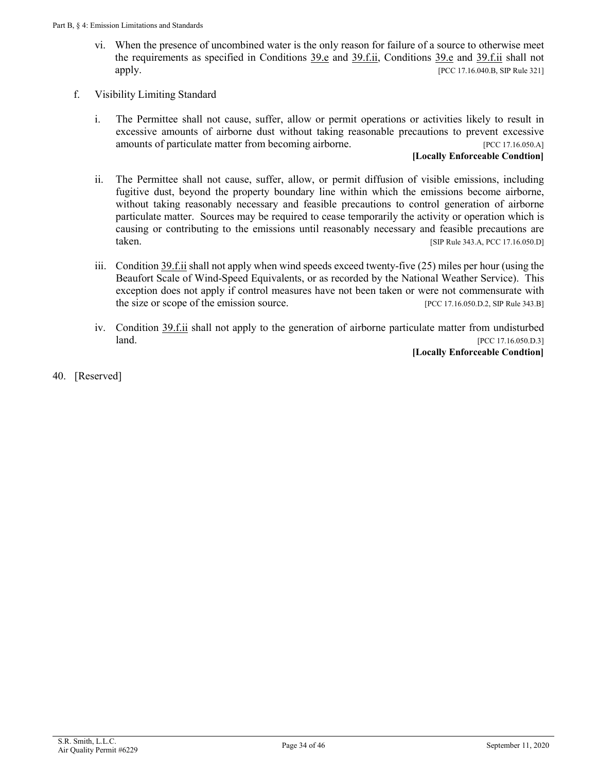- vi. When the presence of uncombined water is the only reason for failure of a source to otherwise meet the requirements as specified in Conditions  $39.e$  and  $39.f.ii$ , Conditions  $39.e$  and  $39.f.ii$  shall not apply. [PCC 17.16.040.B, SIP Rule 321]
- <span id="page-33-0"></span>f. Visibility Limiting Standard
	- i. The Permittee shall not cause, suffer, allow or permit operations or activities likely to result in excessive amounts of airborne dust without taking reasonable precautions to prevent excessive amounts of particulate matter from becoming airborne. [PCC 17.16.050.A]

#### **[Locally Enforceable Condtion]**

- <span id="page-33-1"></span>ii. The Permittee shall not cause, suffer, allow, or permit diffusion of visible emissions, including fugitive dust, beyond the property boundary line within which the emissions become airborne, without taking reasonably necessary and feasible precautions to control generation of airborne particulate matter. Sources may be required to cease temporarily the activity or operation which is causing or contributing to the emissions until reasonably necessary and feasible precautions are taken. [SIP Rule 343.A, PCC 17.16.050.D]
- iii. [Condition 39.f.ii](#page-33-1) shall not apply when wind speeds exceed twenty-five (25) miles per hour (using the Beaufort Scale of Wind-Speed Equivalents, or as recorded by the National Weather Service). This exception does not apply if control measures have not been taken or were not commensurate with the size or scope of the emission source. [PCC 17.16.050.D.2, SIP Rule 343.B]
- iv. [Condition 39.f.ii](#page-33-1) shall not apply to the generation of airborne particulate matter from undisturbed **land.** [PCC 17.16.050.D.3]

**[Locally Enforceable Condtion]**

40. [Reserved]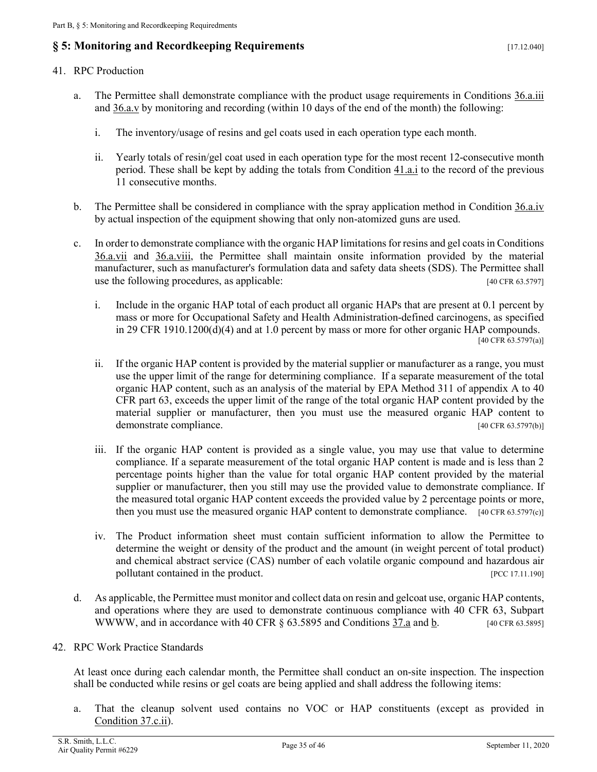# <span id="page-34-5"></span><span id="page-34-0"></span>**§ 5: Monitoring and Recordkeeping Requirements** [17.12.040]

#### <span id="page-34-1"></span>41. RPC Production

- <span id="page-34-3"></span>a. The Permittee shall demonstrate compliance with the product usage requirements in [Conditions 36.a.iii](#page-27-6) and [36.a.v](#page-27-5) by monitoring and recording (within 10 days of the end of the month) the following:
	- i. The inventory/usage of resins and gel coats used in each operation type each month.
	- ii. Yearly totals of resin/gel coat used in each operation type for the most recent 12-consecutive month period. These shall be kept by adding the totals from [Condition 41.a.i](#page-34-3) to the record of the previous 11 consecutive months.
- b. The Permittee shall be considered in compliance with the spray application method in [Condition 36.a.iv](#page-27-7) by actual inspection of the equipment showing that only non-atomized guns are used.
- c. In order to demonstrate compliance with the organic HAP limitations for resins and gel coats i[n Conditions](#page-27-8) [36.a.vii](#page-27-8) and [36.a.viii,](#page-27-9) the Permittee shall maintain onsite information provided by the material manufacturer, such as manufacturer's formulation data and safety data sheets (SDS). The Permittee shall use the following procedures, as applicable: [40 CFR 63.5797]
	- i. Include in the organic HAP total of each product all organic HAPs that are present at 0.1 percent by mass or more for Occupational Safety and Health Administration-defined carcinogens, as specified in 29 CFR 1910.1200(d)(4) and at 1.0 percent by mass or more for other organic HAP compounds. [40 CFR 63.5797(a)]
	- ii. If the organic HAP content is provided by the material supplier or manufacturer as a range, you must use the upper limit of the range for determining compliance. If a separate measurement of the total organic HAP content, such as an analysis of the material by EPA Method 311 of appendix A to 40 CFR part 63, exceeds the upper limit of the range of the total organic HAP content provided by the material supplier or manufacturer, then you must use the measured organic HAP content to demonstrate compliance.  $[40 \text{ CFR } 63.5797(b)]$
	- iii. If the organic HAP content is provided as a single value, you may use that value to determine compliance. If a separate measurement of the total organic HAP content is made and is less than 2 percentage points higher than the value for total organic HAP content provided by the material supplier or manufacturer, then you still may use the provided value to demonstrate compliance. If the measured total organic HAP content exceeds the provided value by 2 percentage points or more, then you must use the measured organic HAP content to demonstrate compliance. [40 CFR 63.5797(c)]
	- iv. The Product information sheet must contain sufficient information to allow the Permittee to determine the weight or density of the product and the amount (in weight percent of total product) and chemical abstract service (CAS) number of each volatile organic compound and hazardous air pollutant contained in the product. **[PCC 17.11.190]**
- <span id="page-34-6"></span>d. As applicable, the Permittee must monitor and collect data on resin and gelcoat use, organic HAP contents, and operations where they are used to demonstrate continuous compliance with 40 CFR 63, Subpart WWW, and in accordance with 40 CFR  $\S$  63.5895 and Conditions  $\frac{37}{a}$  and  $\frac{b}{a}$ . [40 CFR 63.5895]
- <span id="page-34-2"></span>42. RPC Work Practice Standards

At least once during each calendar month, the Permittee shall conduct an on-site inspection. The inspection shall be conducted while resins or gel coats are being applied and shall address the following items:

<span id="page-34-4"></span>a. That the cleanup solvent used contains no VOC or HAP constituents (except as provided in [Condition](#page-30-3) 37.c.ii).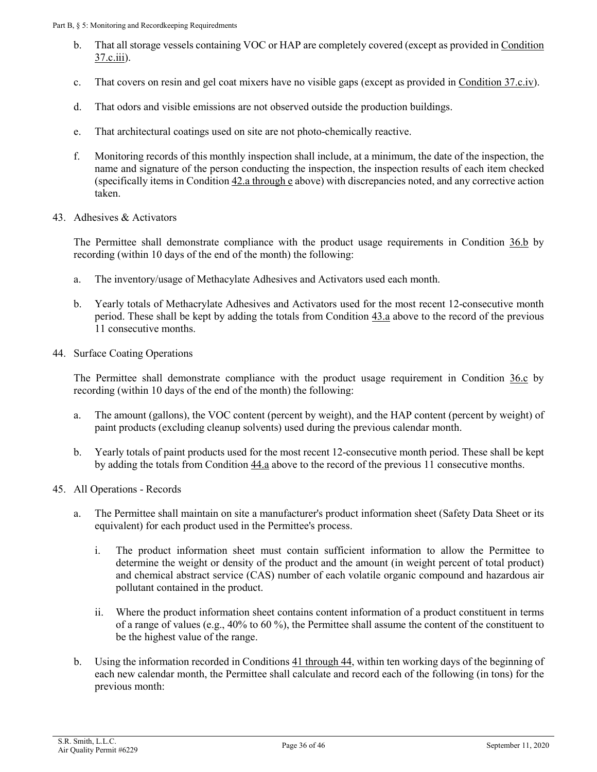- <span id="page-35-5"></span>b. That all storage vessels containing VOC or HAP are completely covered (except as provided in [Condition](#page-30-4)  [37.c.iii\)](#page-30-4).
- c. That covers on resin and gel coat mixers have no visible gaps (except as provided in [Condition 37.c.iv\)](#page-30-5).
- d. That odors and visible emissions are not observed outside the production buildings.
- e. That architectural coatings used on site are not photo-chemically reactive.
- <span id="page-35-6"></span>f. Monitoring records of this monthly inspection shall include, at a minimum, the date of the inspection, the name and signature of the person conducting the inspection, the inspection results of each item checked (specifically items in [Condition 42.a through e](#page-34-4) above) with discrepancies noted, and any corrective action taken.
- <span id="page-35-0"></span>43. Adhesives & Activators

The Permittee shall demonstrate compliance with the product usage requirements in [Condition 36.b](#page-27-3) by recording (within 10 days of the end of the month) the following:

- <span id="page-35-3"></span>a. The inventory/usage of Methacylate Adhesives and Activators used each month.
- <span id="page-35-7"></span>b. Yearly totals of Methacrylate Adhesives and Activators used for the most recent 12-consecutive month period. These shall be kept by adding the totals from Condition  $43.a$  above to the record of the previous 11 consecutive months.
- <span id="page-35-1"></span>44. Surface Coating Operations

The Permittee shall demonstrate compliance with the product usage requirement in [Condition 36.c](#page-28-0) by recording (within 10 days of the end of the month) the following:

- <span id="page-35-4"></span>a. The amount (gallons), the VOC content (percent by weight), and the HAP content (percent by weight) of paint products (excluding cleanup solvents) used during the previous calendar month.
- b. Yearly totals of paint products used for the most recent 12-consecutive month period. These shall be kept by adding the totals from [Condition 44.a](#page-35-4) above to the record of the previous 11 consecutive months.
- <span id="page-35-2"></span>45. All Operations - Records
	- a. The Permittee shall maintain on site a manufacturer's product information sheet (Safety Data Sheet or its equivalent) for each product used in the Permittee's process.
		- i. The product information sheet must contain sufficient information to allow the Permittee to determine the weight or density of the product and the amount (in weight percent of total product) and chemical abstract service (CAS) number of each volatile organic compound and hazardous air pollutant contained in the product.
		- ii. Where the product information sheet contains content information of a product constituent in terms of a range of values (e.g., 40% to 60 %), the Permittee shall assume the content of the constituent to be the highest value of the range.
	- b. Using the information recorded i[n Conditions 41 through](#page-34-1) 44, within ten working days of the beginning of each new calendar month, the Permittee shall calculate and record each of the following (in tons) for the previous month: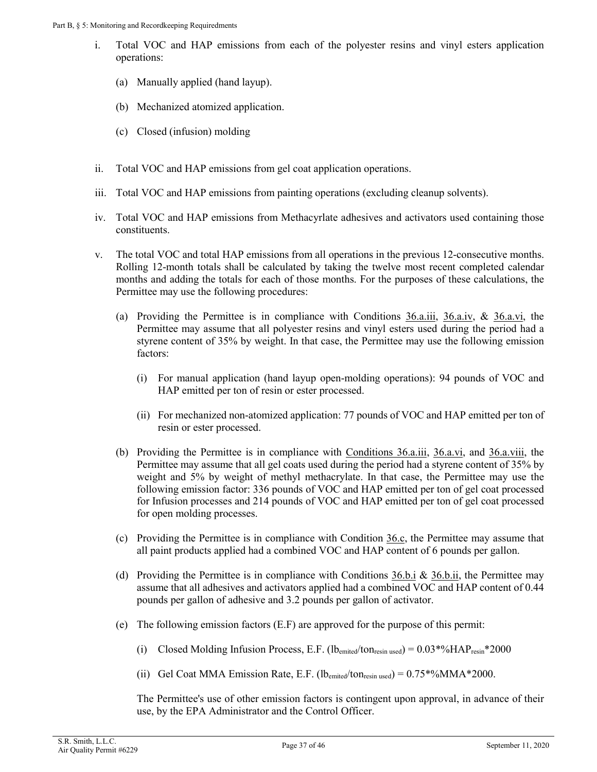- i. Total VOC and HAP emissions from each of the polyester resins and vinyl esters application operations:
	- (a) Manually applied (hand layup).
	- (b) Mechanized atomized application.
	- (c) Closed (infusion) molding
- ii. Total VOC and HAP emissions from gel coat application operations.
- iii. Total VOC and HAP emissions from painting operations (excluding cleanup solvents).
- iv. Total VOC and HAP emissions from Methacyrlate adhesives and activators used containing those constituents.
- v. The total VOC and total HAP emissions from all operations in the previous 12-consecutive months. Rolling 12-month totals shall be calculated by taking the twelve most recent completed calendar months and adding the totals for each of those months. For the purposes of these calculations, the Permittee may use the following procedures:
	- (a) Providing the Permittee is in compliance with Conditions  $\underline{36. a.i.i}, \underline{36. a.i.v}, \& \underline{36. a.i.i}, \text{ the}$ Permittee may assume that all polyester resins and vinyl esters used during the period had a styrene content of 35% by weight. In that case, the Permittee may use the following emission factors:
		- (i) For manual application (hand layup open-molding operations): 94 pounds of VOC and HAP emitted per ton of resin or ester processed.
		- (ii) For mechanized non-atomized application: 77 pounds of VOC and HAP emitted per ton of resin or ester processed.
	- (b) Providing the Permittee is in compliance with [Conditions 36.a.iii,](#page-27-4) [36.a.vi,](#page-27-10) and [36.a.viii,](#page-27-9) the Permittee may assume that all gel coats used during the period had a styrene content of 35% by weight and 5% by weight of methyl methacrylate. In that case, the Permittee may use the following emission factor: 336 pounds of VOC and HAP emitted per ton of gel coat processed for Infusion processes and 214 pounds of VOC and HAP emitted per ton of gel coat processed for open molding processes.
	- (c) Providing the Permittee is in compliance with Condition  $36.c$ , the Permittee may assume that all paint products applied had a combined VOC and HAP content of 6 pounds per gallon.
	- (d) Providing the Permittee is in compliance with Conditions  $36.b.i \& 36.b.i$ , the Permittee may assume that all adhesives and activators applied had a combined VOC and HAP content of 0.44 pounds per gallon of adhesive and 3.2 pounds per gallon of activator.
	- (e) The following emission factors (E.F) are approved for the purpose of this permit:
		- (i) Closed Molding Infusion Process, E.F. (lbemited/tonresin used) =  $0.03*%HAP_{resin}*2000$
		- (ii) Gel Coat MMA Emission Rate, E.F.  $(lb_{emited}/ton_{resin used}) = 0.75*%MMA*2000$ .

The Permittee's use of other emission factors is contingent upon approval, in advance of their use, by the EPA Administrator and the Control Officer.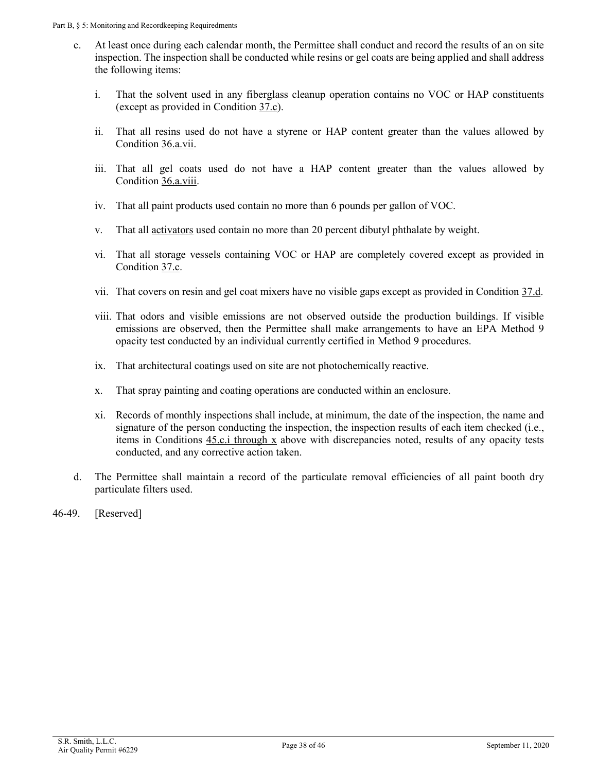- <span id="page-37-0"></span>c. At least once during each calendar month, the Permittee shall conduct and record the results of an on site inspection. The inspection shall be conducted while resins or gel coats are being applied and shall address the following items:
	- i. That the solvent used in any fiberglass cleanup operation contains no VOC or HAP constituents (except as provided in [Condition](#page-29-0) 37.c).
	- ii. That all resins used do not have a styrene or HAP content greater than the values allowed by [Condition 36.a.vii.](#page-27-8)
	- iii. That all gel coats used do not have a HAP content greater than the values allowed by [Condition](#page-27-9) 36.a.viii.
	- iv. That all paint products used contain no more than 6 pounds per gallon of VOC.
	- v. That all [activators](#page-19-2) used contain no more than 20 percent dibutyl phthalate by weight.
	- vi. That all storage vessels containing VOC or HAP are completely covered except as provided in [Condition](#page-29-0) 37.c.
	- vii. That covers on resin and gel coat mixers have no visible gaps except as provided in [Condition 37.d.](#page-30-5)
	- viii. That odors and visible emissions are not observed outside the production buildings. If visible emissions are observed, then the Permittee shall make arrangements to have an EPA Method 9 opacity test conducted by an individual currently certified in Method 9 procedures.
	- ix. That architectural coatings used on site are not photochemically reactive.
	- x. That spray painting and coating operations are conducted within an enclosure.
	- xi. Records of monthly inspections shall include, at minimum, the date of the inspection, the name and signature of the person conducting the inspection, the inspection results of each item checked (i.e., items in [Conditions 45.c.i through x](#page-37-0) above with discrepancies noted, results of any opacity tests conducted, and any corrective action taken.
- d. The Permittee shall maintain a record of the particulate removal efficiencies of all paint booth dry particulate filters used.
- 46-49. [Reserved]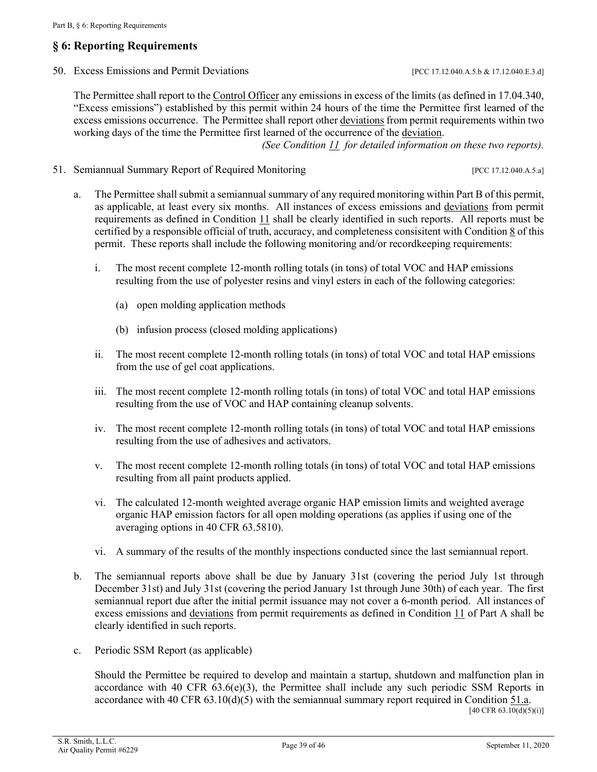# <span id="page-38-5"></span><span id="page-38-0"></span>**§ 6: Reporting Requirements**

<span id="page-38-1"></span>50. Excess Emissions and Permit Deviations [PCC 17.12.040.A.5.b & 17.12.040.E.3.d]

The Permittee shall report to th[e Control Officer](#page-20-0) any emissions in excess of the limits (as defined in 17.04.340, "Excess emissions") established by this permit within 24 hours of the time the Permittee first learned of the excess emissions occurrence. The Permittee shall report other [deviations](#page-21-0) from permit requirements within two working days of the time the Permittee first learned of the occurrence of the [deviation.](#page-21-0)

*(See [Condition 11](#page-8-0) for detailed information on these two reports).*

<span id="page-38-2"></span>51. Semiannual Summary Report of Required Monitoring [PCC 17.12.040.A.5.a]

- <span id="page-38-3"></span>a. The Permittee shall submit a semiannual summary of any required monitoring within Part B of this permit, as applicable, at least every six months. All instances of excess emissions and [deviations](#page-21-0) from permit requirements as defined in [Condition 11](#page-8-0) shall be clearly identified in such reports. All reports must be certified by a responsible official of truth, accuracy, and completeness consisitent wit[h Condition 8](#page-7-0) of this permit. These reports shall include the following monitoring and/or recordkeeping requirements:
	- i. The most recent complete 12-month rolling totals (in tons) of total VOC and HAP emissions resulting from the use of polyester resins and vinyl esters in each of the following categories:
		- (a) open molding application methods
		- (b) infusion process (closed molding applications)
	- ii. The most recent complete 12-month rolling totals (in tons) of total VOC and total HAP emissions from the use of gel coat applications.
	- iii. The most recent complete 12-month rolling totals (in tons) of total VOC and total HAP emissions resulting from the use of VOC and HAP containing cleanup solvents.
	- iv. The most recent complete 12-month rolling totals (in tons) of total VOC and total HAP emissions resulting from the use of adhesives and activators.
	- v. The most recent complete 12-month rolling totals (in tons) of total VOC and total HAP emissions resulting from all paint products applied.
	- vi. The calculated 12-month weighted average organic HAP emission limits and weighted average organic HAP emission factors for all open molding operations (as applies if using one of the averaging options in 40 CFR 63.5810).
	- vi. A summary of the results of the monthly inspections conducted since the last semiannual report.
- <span id="page-38-4"></span>b. The semiannual reports above shall be due by January 31st (covering the period July 1st through December 31st) and July 31st (covering the period January 1st through June 30th) of each year. The first semiannual report due after the initial permit issuance may not cover a 6-month period. All instances of excess emissions and [deviations](#page-21-0) from permit requirements as defined in [Condition 11](#page-8-0) of Part A shall be clearly identified in such reports.
- c. Periodic SSM Report (as applicable)

Should the Permittee be required to develop and maintain a startup, shutdown and malfunction plan in accordance with 40 CFR  $63.6(e)(3)$ , the Permittee shall include any such periodic SSM Reports in accordance with 40 CFR  $63.10(d)(5)$  with the semiannual summary report required in [Condition](#page-38-3) 51.a.

 $[40 \text{ CFR } 63.10(d)(5)(i)]$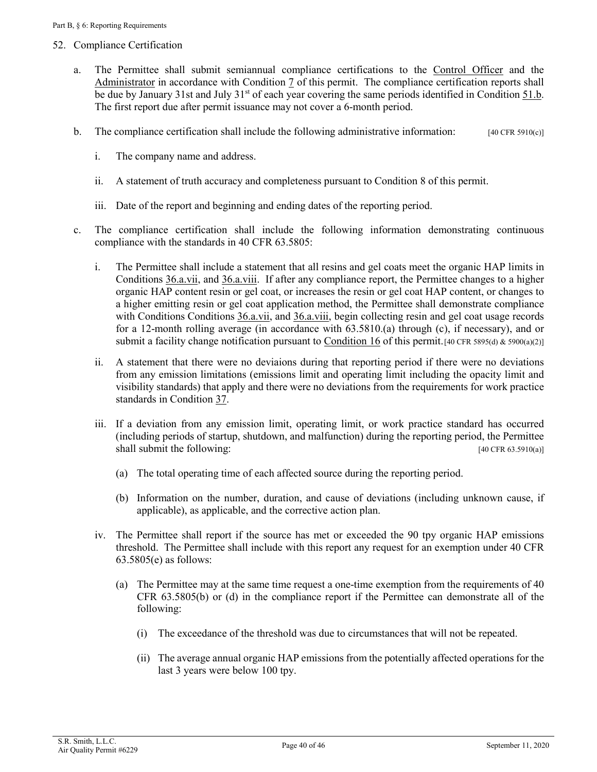#### <span id="page-39-2"></span><span id="page-39-0"></span>52. Compliance Certification

- <span id="page-39-1"></span>a. The Permittee shall submit semiannual compliance certifications to the [Control Officer](#page-20-0) and the [Administrator](#page-19-2) in accordance with [Condition 7](#page-6-3) of this permit. The compliance certification reports shall be due by January 31st and July 31<sup>st</sup> of each year covering the same periods identified in Condition 51.b. The first report due after permit issuance may not cover a 6-month period.
- b. The compliance certification shall include the following administrative information:  $[40 \text{ CFR } 5910(c)]$ 
	- i. The company name and address.
	- ii. A statement of truth accuracy and completeness pursuant to Condition 8 of this permit.
	- iii. Date of the report and beginning and ending dates of the reporting period.
- c. The compliance certification shall include the following information demonstrating continuous compliance with the standards in 40 CFR 63.5805:
	- i. The Permittee shall include a statement that all resins and gel coats meet the organic HAP limits in [Conditions](#page-27-8) 36.a.vii, and [36.a.viii.](#page-27-9) If after any compliance report, the Permittee changes to a higher organic HAP content resin or gel coat, or increases the resin or gel coat HAP content, or changes to a higher emitting resin or gel coat application method, the Permittee shall demonstrate compliance with [Conditions](#page-27-10) [Conditions](#page-27-10) 36.a.vii, and [36.a.viii,](#page-27-9) begin collecting resin and gel coat usage records for a 12-month rolling average (in accordance with 63.5810.(a) through (c), if necessary), and or submit a facility change notification pursuant to [Condition 16](#page-13-1) of this permit.<sup>[40 CFR 5895(d) & 5900(a)(2)]</sup>
	- ii. A statement that there were no deviaions during that reporting period if there were no deviations from any emission limitations (emissions limit and operating limit including the opacity limit and visibility standards) that apply and there were no deviations from the requirements for work practice standards in [Condition 37.](#page-28-2)
	- iii. If a deviation from any emission limit, operating limit, or work practice standard has occurred (including periods of startup, shutdown, and malfunction) during the reporting period, the Permittee shall submit the following: [40 CFR 63.5910(a)]
		- (a) The total operating time of each affected source during the reporting period.
		- (b) Information on the number, duration, and cause of deviations (including unknown cause, if applicable), as applicable, and the corrective action plan.
	- iv. The Permittee shall report if the source has met or exceeded the 90 tpy organic HAP emissions threshold. The Permittee shall include with this report any request for an exemption under 40 CFR 63.5805(e) as follows:
		- (a) The Permittee may at the same time request a one-time exemption from the requirements of 40 CFR 63.5805(b) or (d) in the compliance report if the Permittee can demonstrate all of the following:
			- (i) The exceedance of the threshold was due to circumstances that will not be repeated.
			- (ii) The average annual organic HAP emissions from the potentially affected operations for the last 3 years were below 100 tpy.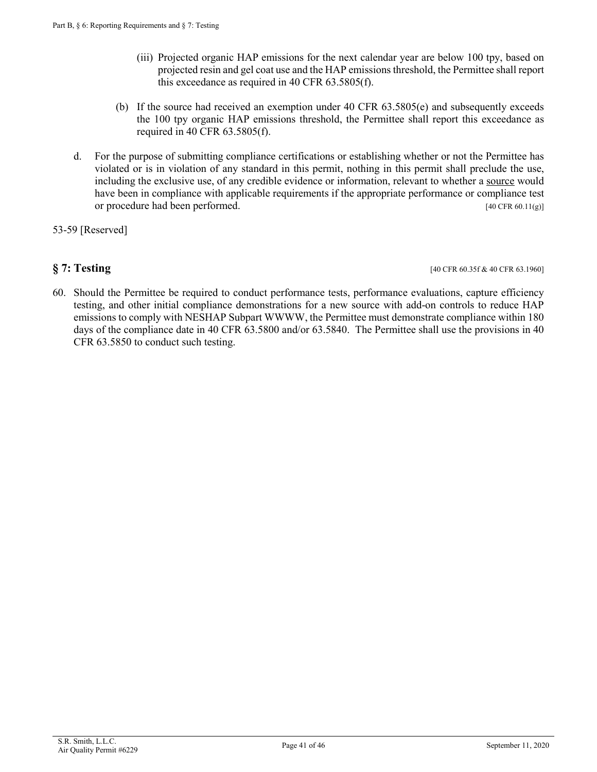- (iii) Projected organic HAP emissions for the next calendar year are below 100 tpy, based on projected resin and gel coat use and the HAP emissions threshold, the Permittee shall report this exceedance as required in 40 CFR 63.5805(f).
- (b) If the source had received an exemption under 40 CFR 63.5805(e) and subsequently exceeds the 100 tpy organic HAP emissions threshold, the Permittee shall report this exceedance as required in 40 CFR 63.5805(f).
- d. For the purpose of submitting compliance certifications or establishing whether or not the Permittee has violated or is in violation of any standard in this permit, nothing in this permit shall preclude the use, including the exclusive use, of any credible evidence or information, relevant to whether a [source](#page-25-0) would have been in compliance with applicable requirements if the appropriate performance or compliance test or procedure had been performed. [40 CFR 60.11(g)]
- 53-59 [Reserved]

<span id="page-40-0"></span>**§ 7: Testing** [40 CFR 60.35f & 40 CFR 63.1960]

60. Should the Permittee be required to conduct performance tests, performance evaluations, capture efficiency testing, and other initial compliance demonstrations for a new source with add-on controls to reduce HAP emissions to comply with NESHAP Subpart WWWW, the Permittee must demonstrate compliance within 180 days of the compliance date in 40 CFR 63.5800 and/or 63.5840. The Permittee shall use the provisions in 40 CFR 63.5850 to conduct such testing.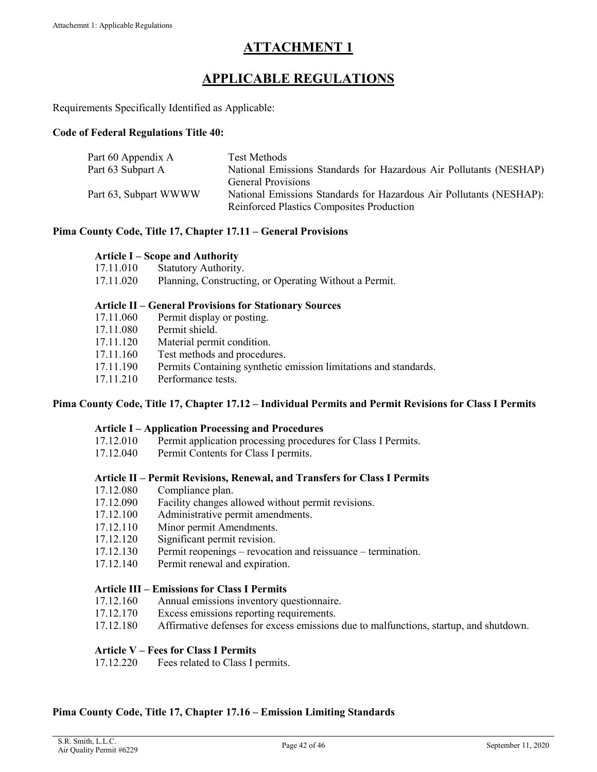# **ATTACHMENT 1**

# **APPLICABLE REGULATIONS**

<span id="page-41-0"></span>Requirements Specifically Identified as Applicable:

#### **Code of Federal Regulations Title 40:**

| Part 60 Appendix A    | Test Methods                                                                                                            |
|-----------------------|-------------------------------------------------------------------------------------------------------------------------|
| Part 63 Subpart A     | National Emissions Standards for Hazardous Air Pollutants (NESHAP)                                                      |
|                       | <b>General Provisions</b>                                                                                               |
| Part 63, Subpart WWWW | National Emissions Standards for Hazardous Air Pollutants (NESHAP):<br><b>Reinforced Plastics Composites Production</b> |
|                       |                                                                                                                         |

#### **Pima County Code, Title 17, Chapter 17.11 – General Provisions**

#### **Article I – Scope and Authority**

- 17.11.010 Statutory Authority.
- 17.11.020 Planning, Constructing, or Operating Without a Permit.

#### **Article II – General Provisions for Stationary Sources**

- 17.11.060 Permit display or posting.
- 17.11.080 Permit shield.
- 17.11.120 Material permit condition.
- 17.11.160 Test methods and procedures.
- 17.11.190 Permits Containing synthetic emission limitations and standards.
- 17.11.210 Performance tests.

#### **Pima County Code, Title 17, Chapter 17.12 – Individual Permits and Permit Revisions for Class I Permits**

#### **Article I – Application Processing and Procedures**

- 17.12.010 Permit application processing procedures for Class I Permits.
- 17.12.040 Permit Contents for Class I permits.

#### **Article II – Permit Revisions, Renewal, and Transfers for Class I Permits**

- 17.12.080 Compliance plan.
- 17.12.090 Facility changes allowed without permit revisions.
- 17.12.100 Administrative permit amendments.
- 17.12.110 Minor permit Amendments.
- 17.12.120 Significant permit revision.
- 17.12.130 Permit reopenings revocation and reissuance termination.
- 17.12.140 Permit renewal and expiration.

#### **Article III – Emissions for Class I Permits**

- 17.12.160 Annual emissions inventory questionnaire.
- 17.12.170 Excess emissions reporting requirements.
- 17.12.180 Affirmative defenses for excess emissions due to malfunctions, startup, and shutdown.

#### **Article V – Fees for Class I Permits**

17.12.220 Fees related to Class I permits.

#### **Pima County Code, Title 17, Chapter 17.16 – Emission Limiting Standards**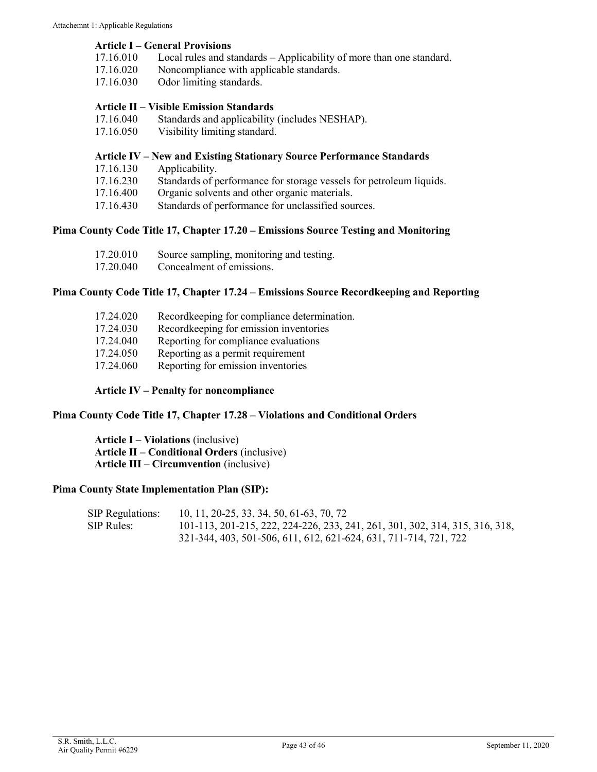#### **Article I – General Provisions**

- 17.16.010 Local rules and standards Applicability of more than one standard.
- 17.16.020 Noncompliance with applicable standards.
- 17.16.030 Odor limiting standards.

#### **Article II – Visible Emission Standards**

- 17.16.040 Standards and applicability (includes NESHAP).
- 17.16.050 Visibility limiting standard.

#### **Article IV – New and Existing Stationary Source Performance Standards**

- 17.16.130 Applicability.
- 17.16.230 Standards of performance for storage vessels for petroleum liquids.
- 17.16.400 Organic solvents and other organic materials.
- 17.16.430 Standards of performance for unclassified sources.

#### **Pima County Code Title 17, Chapter 17.20 – Emissions Source Testing and Monitoring**

| 17.20.010 | Source sampling, monitoring and testing. |
|-----------|------------------------------------------|
| 17.20.040 | Concealment of emissions.                |

#### **Pima County Code Title 17, Chapter 17.24 – Emissions Source Recordkeeping and Reporting**

| 17.24.020 | Recordkeeping for compliance determination. |
|-----------|---------------------------------------------|
| 17.24.030 | Recordkeeping for emission inventories      |
| 17.24.040 | Reporting for compliance evaluations        |
| 17.24.050 | Reporting as a permit requirement           |
| 17.24.060 | Reporting for emission inventories          |
|           |                                             |

#### **Article IV – Penalty for noncompliance**

#### **Pima County Code Title 17, Chapter 17.28 – Violations and Conditional Orders**

**Article I – Violations** (inclusive) **Article II – Conditional Orders** (inclusive) **Article III – Circumvention** (inclusive)

#### **Pima County State Implementation Plan (SIP):**

| <b>SIP Regulations:</b> | 10, 11, 20-25, 33, 34, 50, 61-63, 70, 72                                     |
|-------------------------|------------------------------------------------------------------------------|
| SIP Rules: -            | 101-113, 201-215, 222, 224-226, 233, 241, 261, 301, 302, 314, 315, 316, 318, |
|                         | 321-344, 403, 501-506, 611, 612, 621-624, 631, 711-714, 721, 722             |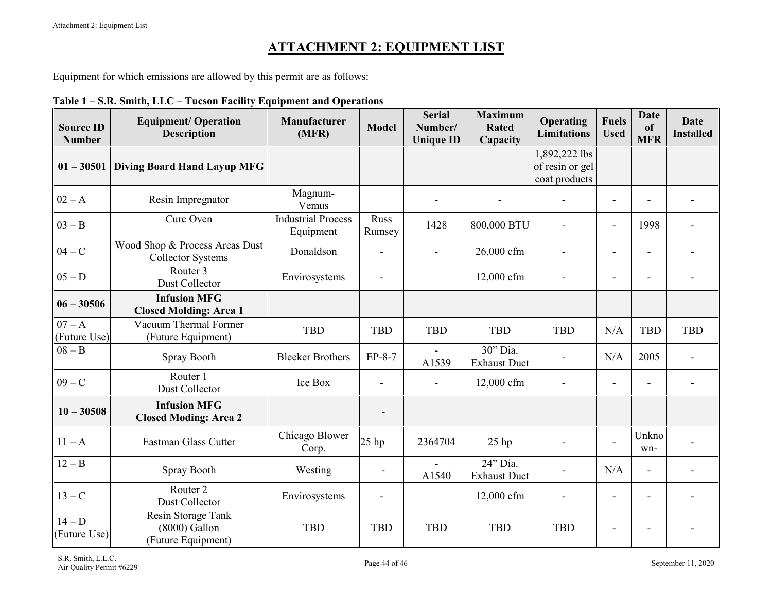# **ATTACHMENT 2: EQUIPMENT LIST**

Equipment for which emissions are allowed by this permit are as follows:

<span id="page-43-0"></span>

| <b>Source ID</b><br><b>Number</b> | <b>Equipment/ Operation</b><br><b>Description</b>          | Manufacturer<br>(MFR)                  | <b>Model</b>             | <b>Serial</b><br>Number/<br><b>Unique ID</b> | <b>Maximum</b><br><b>Rated</b><br>Capacity | Operating<br><b>Limitations</b>                   | <b>Fuels</b><br><b>Used</b> | <b>Date</b><br>of<br><b>MFR</b> | <b>Date</b><br><b>Installed</b> |
|-----------------------------------|------------------------------------------------------------|----------------------------------------|--------------------------|----------------------------------------------|--------------------------------------------|---------------------------------------------------|-----------------------------|---------------------------------|---------------------------------|
| $01 - 30501$                      | <b>Diving Board Hand Layup MFG</b>                         |                                        |                          |                                              |                                            | 1,892,222 lbs<br>of resin or gel<br>coat products |                             |                                 |                                 |
| $02 - A$                          | Resin Impregnator                                          | Magnum-<br>Vemus                       |                          |                                              |                                            |                                                   | $\overline{a}$              | $\blacksquare$                  |                                 |
| $03 - B$                          | Cure Oven                                                  | <b>Industrial Process</b><br>Equipment | Russ<br>Rumsey           | 1428                                         | 800,000 BTU                                | $\overline{a}$                                    | $\overline{a}$              | 1998                            |                                 |
| $04 - C$                          | Wood Shop & Process Areas Dust<br><b>Collector Systems</b> | Donaldson                              | ÷,                       | $\blacksquare$                               | 26,000 cfm                                 | $\blacksquare$                                    | $\overline{\phantom{a}}$    | $\blacksquare$                  |                                 |
| $05-D$                            | Router 3<br>Dust Collector                                 | Envirosystems                          | $\overline{\phantom{0}}$ |                                              | 12,000 cfm                                 | $\blacksquare$                                    |                             |                                 |                                 |
| $06 - 30506$                      | <b>Infusion MFG</b><br><b>Closed Molding: Area 1</b>       |                                        |                          |                                              |                                            |                                                   |                             |                                 |                                 |
| $07 - A$<br>(Future Use)          | Vacuum Thermal Former<br>(Future Equipment)                | <b>TBD</b>                             | <b>TBD</b>               | <b>TBD</b>                                   | <b>TBD</b>                                 | <b>TBD</b>                                        | N/A                         | <b>TBD</b>                      | <b>TBD</b>                      |
| $08 - B$                          | Spray Booth                                                | <b>Bleeker Brothers</b>                | $EP-8-7$                 | A1539                                        | 30" Dia.<br><b>Exhaust Duct</b>            | L,                                                | N/A                         | 2005                            |                                 |
| $09 - C$                          | Router 1<br>Dust Collector                                 | Ice Box                                | ÷,                       |                                              | 12,000 cfm                                 |                                                   | $\blacksquare$              |                                 |                                 |
| $10 - 30508$                      | <b>Infusion MFG</b><br><b>Closed Moding: Area 2</b>        |                                        |                          |                                              |                                            |                                                   |                             |                                 |                                 |
| $11 - A$                          | Eastman Glass Cutter                                       | Chicago Blower<br>Corp.                | $25$ hp                  | 2364704                                      | $25$ hp                                    |                                                   |                             | Unkno<br>wn-                    |                                 |
| $12 - B$                          | Spray Booth                                                | Westing                                | $\overline{a}$           | A1540                                        | 24" Dia.<br><b>Exhaust Duct</b>            |                                                   | N/A                         | $\blacksquare$                  |                                 |
| $13 - C$                          | Router <sub>2</sub><br>Dust Collector                      | Envirosystems                          | ÷,                       |                                              | 12,000 cfm                                 | $\blacksquare$                                    | $\overline{\phantom{a}}$    | $\blacksquare$                  |                                 |
| $14-D$<br>(Future Use)            | Resin Storage Tank<br>(8000) Gallon<br>(Future Equipment)  | <b>TBD</b>                             | <b>TBD</b>               | <b>TBD</b>                                   | <b>TBD</b>                                 | <b>TBD</b>                                        |                             |                                 |                                 |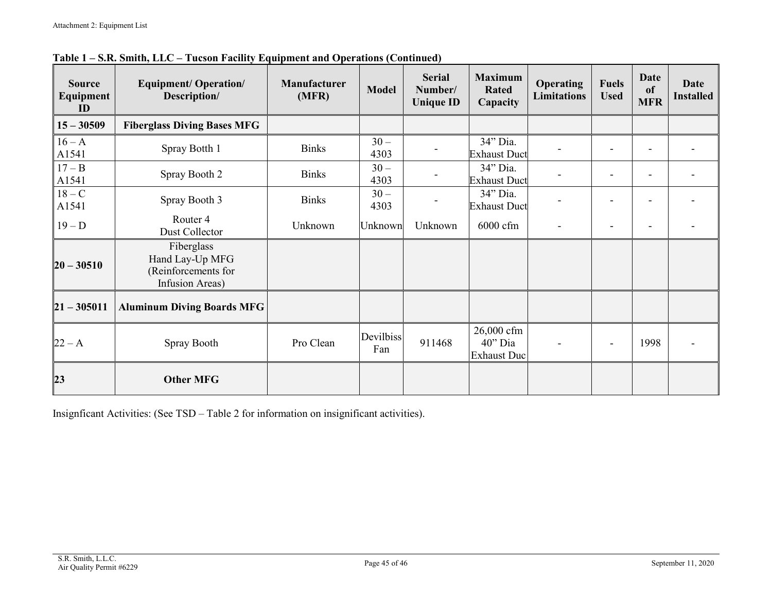| <b>Source</b><br>Equipment<br>ID | <b>Equipment/ Operation/</b><br>Description/                            | <b>Manufacturer</b><br>(MFR) | <b>Model</b>     | <b>Serial</b><br>Number/<br><b>Unique ID</b> | <b>Maximum</b><br><b>Rated</b><br>Capacity  | <b>Operating</b><br><b>Limitations</b> | <b>Fuels</b><br><b>Used</b> | <b>Date</b><br><sub>of</sub><br><b>MFR</b> | <b>Date</b><br><b>Installed</b> |
|----------------------------------|-------------------------------------------------------------------------|------------------------------|------------------|----------------------------------------------|---------------------------------------------|----------------------------------------|-----------------------------|--------------------------------------------|---------------------------------|
| $15 - 30509$                     | <b>Fiberglass Diving Bases MFG</b>                                      |                              |                  |                                              |                                             |                                        |                             |                                            |                                 |
| $16 - A$<br>A1541                | Spray Botth 1                                                           | <b>Binks</b>                 | $30 -$<br>4303   |                                              | 34" Dia.<br><b>Exhaust Duct</b>             |                                        |                             |                                            |                                 |
| $17 - B$<br>A1541                | Spray Booth 2                                                           | <b>Binks</b>                 | $30-$<br>4303    |                                              | 34" Dia.<br><b>Exhaust Duct</b>             |                                        |                             |                                            |                                 |
| $18 - C$<br>A1541                | Spray Booth 3                                                           | <b>Binks</b>                 | $30-$<br>4303    |                                              | 34" Dia.<br><b>Exhaust Duct</b>             |                                        |                             |                                            |                                 |
| $19-D$                           | Router <sub>4</sub><br>Dust Collector                                   | Unknown                      | Unknown          | Unknown                                      | 6000 cfm                                    |                                        |                             |                                            |                                 |
| $20 - 30510$                     | Fiberglass<br>Hand Lay-Up MFG<br>(Reinforcements for<br>Infusion Areas) |                              |                  |                                              |                                             |                                        |                             |                                            |                                 |
| $21 - 305011$                    | <b>Aluminum Diving Boards MFG</b>                                       |                              |                  |                                              |                                             |                                        |                             |                                            |                                 |
| $22 - A$                         | Spray Booth                                                             | Pro Clean                    | Devilbiss<br>Fan | 911468                                       | 26,000 cfm<br>40" Dia<br><b>Exhaust Duc</b> |                                        | $\overline{\phantom{a}}$    | 1998                                       |                                 |
| 23                               | <b>Other MFG</b>                                                        |                              |                  |                                              |                                             |                                        |                             |                                            |                                 |

**Table 1 – S.R. Smith, LLC – Tucson Facility Equipment and Operations (Continued)**

Insignficant Activities: (See TSD – Table 2 for information on insignificant activities).